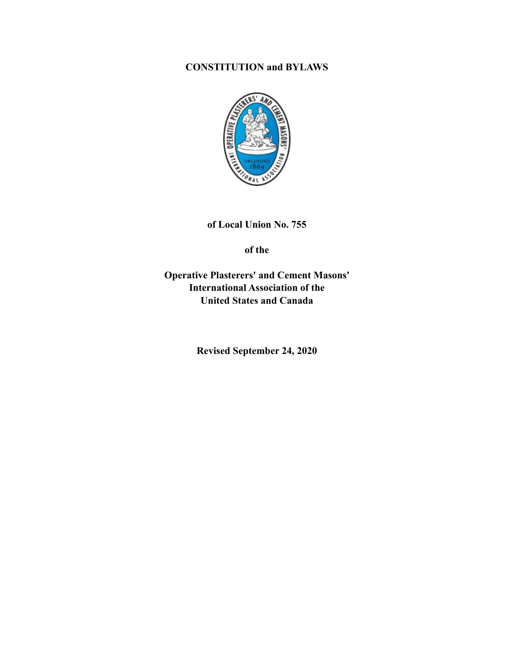# **CONSTITUTION and BYLAWS**



**of Local Union No. 755** 

**of the** 

**Operative Plasterers' and Cement Masons' International Association of the United States and Canada** 

**Revised September 24, 2020**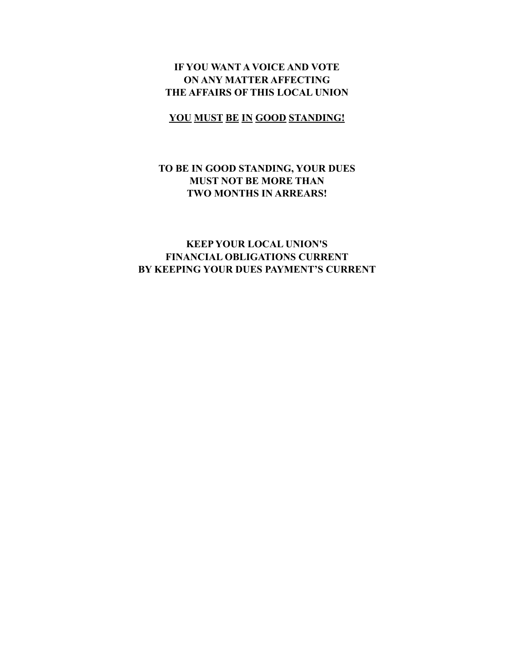# **IF YOU WANT A VOICE AND VOTE ON ANY MATTER AFFECTING THE AFFAIRS OF THIS LOCAL UNION**

# **YOU MUST BE IN GOOD STANDING!**

# **TO BE IN GOOD STANDING, YOUR DUES MUST NOT BE MORE THAN TWO MONTHS IN ARREARS!**

# **KEEP YOUR LOCAL UNION'S FINANCIAL OBLIGATIONS CURRENT BY KEEPING YOUR DUES PAYMENT'S CURRENT**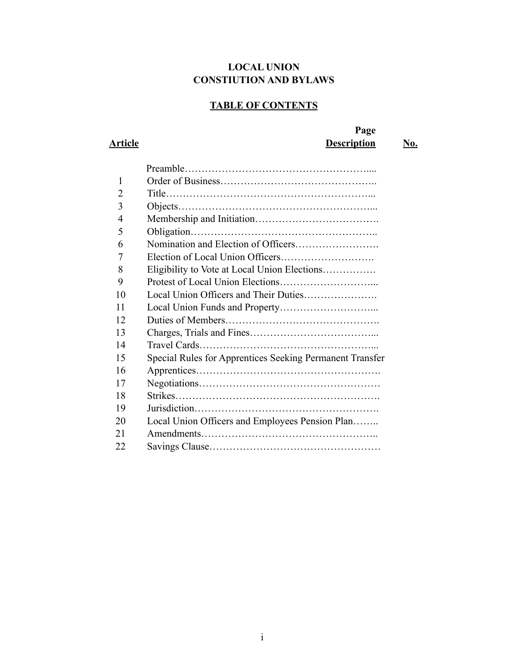# **LOCAL UNION CONSTIUTION AND BYLAWS**

# **TABLE OF CONTENTS**

# **Page Article Description No.**

| 1              |                                                          |
|----------------|----------------------------------------------------------|
| $\overline{2}$ |                                                          |
| 3              |                                                          |
| 4              |                                                          |
| 5              |                                                          |
| 6              |                                                          |
| 7              |                                                          |
| 8              | Eligibility to Vote at Local Union Elections             |
| 9              |                                                          |
| 10             |                                                          |
| 11             |                                                          |
| 12             |                                                          |
| 13             |                                                          |
| 14             |                                                          |
| 15             | Special Rules for Apprentices Seeking Permanent Transfer |
| 16             |                                                          |
| 17             |                                                          |
| 18             |                                                          |
| 19             |                                                          |
| 20             | Local Union Officers and Employees Pension Plan          |
| 21             |                                                          |
| 22             |                                                          |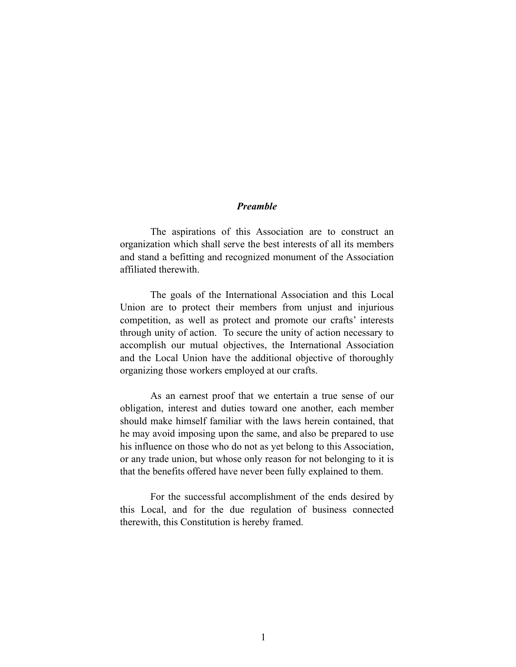#### *Preamble*

 The aspirations of this Association are to construct an organization which shall serve the best interests of all its members and stand a befitting and recognized monument of the Association affiliated therewith.

 The goals of the International Association and this Local Union are to protect their members from unjust and injurious competition, as well as protect and promote our crafts' interests through unity of action. To secure the unity of action necessary to accomplish our mutual objectives, the International Association and the Local Union have the additional objective of thoroughly organizing those workers employed at our crafts.

 As an earnest proof that we entertain a true sense of our obligation, interest and duties toward one another, each member should make himself familiar with the laws herein contained, that he may avoid imposing upon the same, and also be prepared to use his influence on those who do not as yet belong to this Association, or any trade union, but whose only reason for not belonging to it is that the benefits offered have never been fully explained to them.

 For the successful accomplishment of the ends desired by this Local, and for the due regulation of business connected therewith, this Constitution is hereby framed.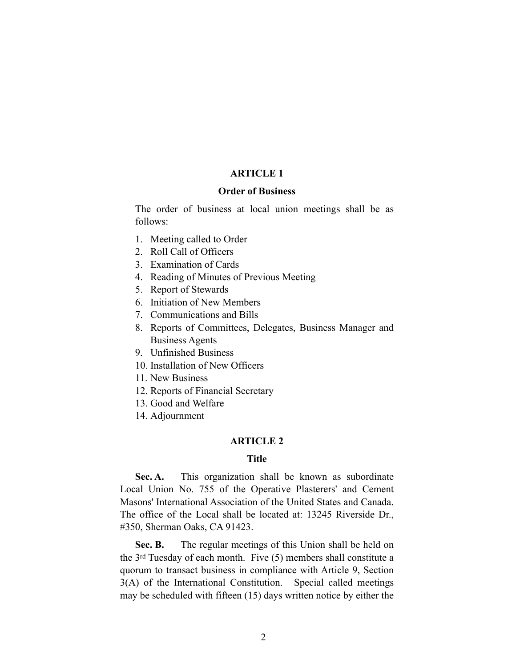## **ARTICLE 1**

#### **Order of Business**

The order of business at local union meetings shall be as follows:

- 1. Meeting called to Order
- 2. Roll Call of Officers
- 3. Examination of Cards
- 4. Reading of Minutes of Previous Meeting
- 5. Report of Stewards
- 6. Initiation of New Members
- 7. Communications and Bills
- 8. Reports of Committees, Delegates, Business Manager and Business Agents
- 9. Unfinished Business
- 10. Installation of New Officers
- 11. New Business
- 12. Reports of Financial Secretary
- 13. Good and Welfare
- 14. Adjournment

## **ARTICLE 2**

# **Title**

Sec. A. This organization shall be known as subordinate Local Union No. 755 of the Operative Plasterers' and Cement Masons' International Association of the United States and Canada. The office of the Local shall be located at: 13245 Riverside Dr., #350, Sherman Oaks, CA 91423.

**Sec. B.** The regular meetings of this Union shall be held on the 3rd Tuesday of each month. Five (5) members shall constitute a quorum to transact business in compliance with Article 9, Section 3(A) of the International Constitution. Special called meetings may be scheduled with fifteen (15) days written notice by either the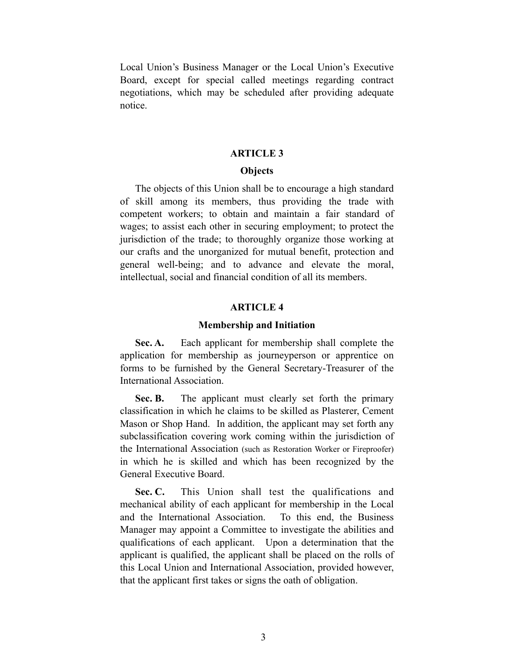Local Union's Business Manager or the Local Union's Executive Board, except for special called meetings regarding contract negotiations, which may be scheduled after providing adequate notice.

### **ARTICLE 3**

## **Objects**

The objects of this Union shall be to encourage a high standard of skill among its members, thus providing the trade with competent workers; to obtain and maintain a fair standard of wages; to assist each other in securing employment; to protect the jurisdiction of the trade; to thoroughly organize those working at our crafts and the unorganized for mutual benefit, protection and general well-being; and to advance and elevate the moral, intellectual, social and financial condition of all its members.

#### **ARTICLE 4**

#### **Membership and Initiation**

**Sec. A.** Each applicant for membership shall complete the application for membership as journeyperson or apprentice on forms to be furnished by the General Secretary-Treasurer of the International Association.

**Sec. B.** The applicant must clearly set forth the primary classification in which he claims to be skilled as Plasterer, Cement Mason or Shop Hand. In addition, the applicant may set forth any subclassification covering work coming within the jurisdiction of the International Association (such as Restoration Worker or Fireproofer) in which he is skilled and which has been recognized by the General Executive Board.

Sec. C. This Union shall test the qualifications and mechanical ability of each applicant for membership in the Local and the International Association. To this end, the Business Manager may appoint a Committee to investigate the abilities and qualifications of each applicant. Upon a determination that the applicant is qualified, the applicant shall be placed on the rolls of this Local Union and International Association, provided however, that the applicant first takes or signs the oath of obligation.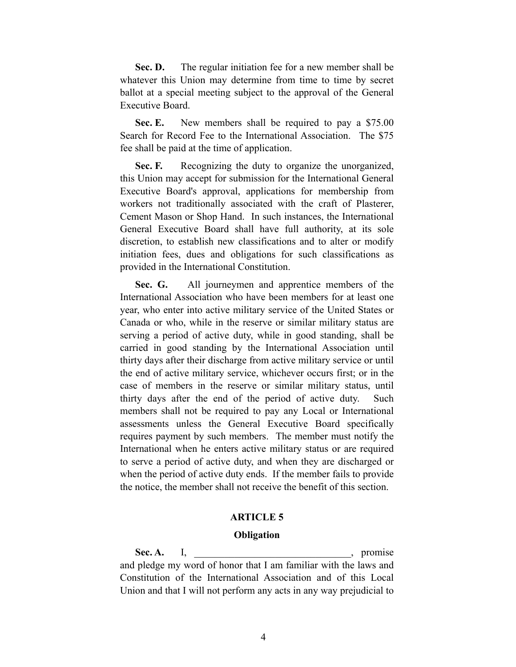Sec. D. The regular initiation fee for a new member shall be whatever this Union may determine from time to time by secret ballot at a special meeting subject to the approval of the General Executive Board.

**Sec. E.** New members shall be required to pay a \$75.00 Search for Record Fee to the International Association. The \$75 fee shall be paid at the time of application.

**Sec. F.** Recognizing the duty to organize the unorganized, this Union may accept for submission for the International General Executive Board's approval, applications for membership from workers not traditionally associated with the craft of Plasterer, Cement Mason or Shop Hand. In such instances, the International General Executive Board shall have full authority, at its sole discretion, to establish new classifications and to alter or modify initiation fees, dues and obligations for such classifications as provided in the International Constitution.

**Sec. G.** All journeymen and apprentice members of the International Association who have been members for at least one year, who enter into active military service of the United States or Canada or who, while in the reserve or similar military status are serving a period of active duty, while in good standing, shall be carried in good standing by the International Association until thirty days after their discharge from active military service or until the end of active military service, whichever occurs first; or in the case of members in the reserve or similar military status, until thirty days after the end of the period of active duty. Such members shall not be required to pay any Local or International assessments unless the General Executive Board specifically requires payment by such members. The member must notify the International when he enters active military status or are required to serve a period of active duty, and when they are discharged or when the period of active duty ends. If the member fails to provide the notice, the member shall not receive the benefit of this section.

#### **ARTICLE 5**

#### **Obligation**

Sec. A. I, \_\_\_\_\_\_\_\_\_\_\_\_\_\_\_\_\_\_\_\_\_\_\_\_\_\_\_\_\_\_\_\_\_, promise and pledge my word of honor that I am familiar with the laws and Constitution of the International Association and of this Local Union and that I will not perform any acts in any way prejudicial to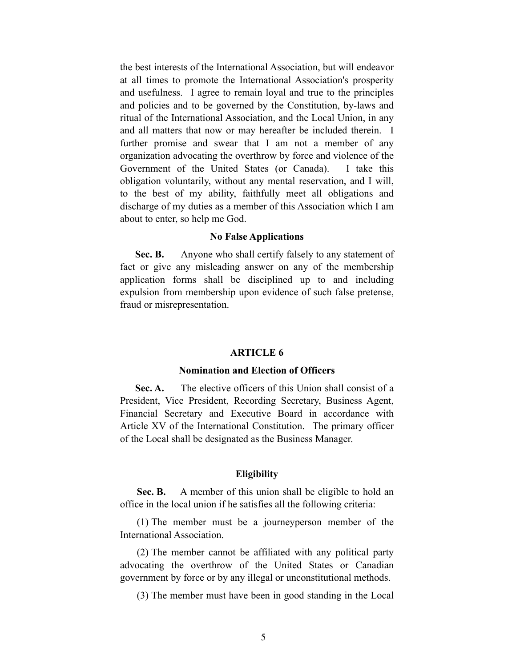the best interests of the International Association, but will endeavor at all times to promote the International Association's prosperity and usefulness. I agree to remain loyal and true to the principles and policies and to be governed by the Constitution, by-laws and ritual of the International Association, and the Local Union, in any and all matters that now or may hereafter be included therein. I further promise and swear that I am not a member of any organization advocating the overthrow by force and violence of the Government of the United States (or Canada). I take this obligation voluntarily, without any mental reservation, and I will, to the best of my ability, faithfully meet all obligations and discharge of my duties as a member of this Association which I am about to enter, so help me God.

#### **No False Applications**

Sec. B. Anyone who shall certify falsely to any statement of fact or give any misleading answer on any of the membership application forms shall be disciplined up to and including expulsion from membership upon evidence of such false pretense, fraud or misrepresentation.

#### **ARTICLE 6**

#### **Nomination and Election of Officers**

Sec. A. The elective officers of this Union shall consist of a President, Vice President, Recording Secretary, Business Agent, Financial Secretary and Executive Board in accordance with Article XV of the International Constitution. The primary officer of the Local shall be designated as the Business Manager.

#### **Eligibility**

Sec. B. A member of this union shall be eligible to hold an office in the local union if he satisfies all the following criteria:

 (1) The member must be a journeyperson member of the International Association.

 (2) The member cannot be affiliated with any political party advocating the overthrow of the United States or Canadian government by force or by any illegal or unconstitutional methods.

(3) The member must have been in good standing in the Local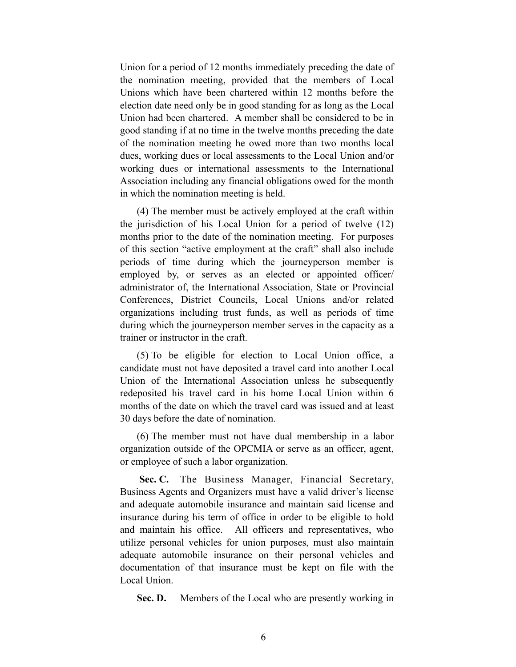Union for a period of 12 months immediately preceding the date of the nomination meeting, provided that the members of Local Unions which have been chartered within 12 months before the election date need only be in good standing for as long as the Local Union had been chartered. A member shall be considered to be in good standing if at no time in the twelve months preceding the date of the nomination meeting he owed more than two months local dues, working dues or local assessments to the Local Union and/or working dues or international assessments to the International Association including any financial obligations owed for the month in which the nomination meeting is held.

 (4) The member must be actively employed at the craft within the jurisdiction of his Local Union for a period of twelve (12) months prior to the date of the nomination meeting. For purposes of this section "active employment at the craft" shall also include periods of time during which the journeyperson member is employed by, or serves as an elected or appointed officer/ administrator of, the International Association, State or Provincial Conferences, District Councils, Local Unions and/or related organizations including trust funds, as well as periods of time during which the journeyperson member serves in the capacity as a trainer or instructor in the craft.

 (5) To be eligible for election to Local Union office, a candidate must not have deposited a travel card into another Local Union of the International Association unless he subsequently redeposited his travel card in his home Local Union within 6 months of the date on which the travel card was issued and at least 30 days before the date of nomination.

 (6) The member must not have dual membership in a labor organization outside of the OPCMIA or serve as an officer, agent, or employee of such a labor organization.

Sec. C. The Business Manager, Financial Secretary, Business Agents and Organizers must have a valid driver's license and adequate automobile insurance and maintain said license and insurance during his term of office in order to be eligible to hold and maintain his office. All officers and representatives, who utilize personal vehicles for union purposes, must also maintain adequate automobile insurance on their personal vehicles and documentation of that insurance must be kept on file with the Local Union.

**Sec. D.** Members of the Local who are presently working in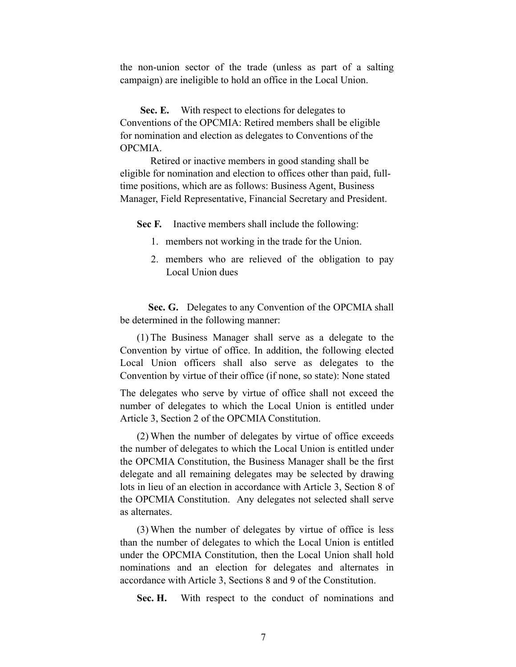the non-union sector of the trade (unless as part of a salting campaign) are ineligible to hold an office in the Local Union.

Sec. E. With respect to elections for delegates to Conventions of the OPCMIA: Retired members shall be eligible for nomination and election as delegates to Conventions of the OPCMIA.

Retired or inactive members in good standing shall be eligible for nomination and election to offices other than paid, fulltime positions, which are as follows: Business Agent, Business Manager, Field Representative, Financial Secretary and President.

**Sec F.** Inactive members shall include the following:

- 1. members not working in the trade for the Union.
- 2. members who are relieved of the obligation to pay Local Union dues

Sec. G. Delegates to any Convention of the OPCMIA shall be determined in the following manner:

(1) The Business Manager shall serve as a delegate to the Convention by virtue of office. In addition, the following elected Local Union officers shall also serve as delegates to the Convention by virtue of their office (if none, so state): None stated

The delegates who serve by virtue of office shall not exceed the number of delegates to which the Local Union is entitled under Article 3, Section 2 of the OPCMIA Constitution.

 (2) When the number of delegates by virtue of office exceeds the number of delegates to which the Local Union is entitled under the OPCMIA Constitution, the Business Manager shall be the first delegate and all remaining delegates may be selected by drawing lots in lieu of an election in accordance with Article 3, Section 8 of the OPCMIA Constitution. Any delegates not selected shall serve as alternates.

 (3) When the number of delegates by virtue of office is less than the number of delegates to which the Local Union is entitled under the OPCMIA Constitution, then the Local Union shall hold nominations and an election for delegates and alternates in accordance with Article 3, Sections 8 and 9 of the Constitution.

**Sec. H.** With respect to the conduct of nominations and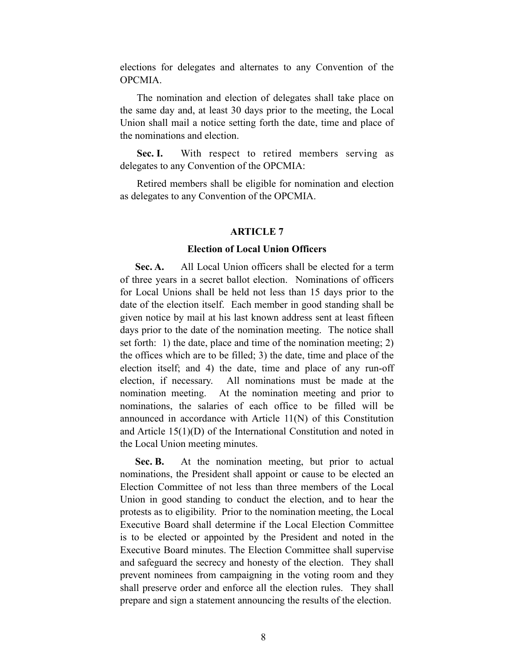elections for delegates and alternates to any Convention of the OPCMIA.

 The nomination and election of delegates shall take place on the same day and, at least 30 days prior to the meeting, the Local Union shall mail a notice setting forth the date, time and place of the nominations and election.

Sec. I. With respect to retired members serving as delegates to any Convention of the OPCMIA:

 Retired members shall be eligible for nomination and election as delegates to any Convention of the OPCMIA.

#### **ARTICLE 7**

#### **Election of Local Union Officers**

**Sec. A.** All Local Union officers shall be elected for a term of three years in a secret ballot election. Nominations of officers for Local Unions shall be held not less than 15 days prior to the date of the election itself. Each member in good standing shall be given notice by mail at his last known address sent at least fifteen days prior to the date of the nomination meeting. The notice shall set forth: 1) the date, place and time of the nomination meeting; 2) the offices which are to be filled; 3) the date, time and place of the election itself; and 4) the date, time and place of any run-off election, if necessary. All nominations must be made at the nomination meeting. At the nomination meeting and prior to nominations, the salaries of each office to be filled will be announced in accordance with Article 11(N) of this Constitution and Article 15(1)(D) of the International Constitution and noted in the Local Union meeting minutes.

**Sec. B.** At the nomination meeting, but prior to actual nominations, the President shall appoint or cause to be elected an Election Committee of not less than three members of the Local Union in good standing to conduct the election, and to hear the protests as to eligibility. Prior to the nomination meeting, the Local Executive Board shall determine if the Local Election Committee is to be elected or appointed by the President and noted in the Executive Board minutes. The Election Committee shall supervise and safeguard the secrecy and honesty of the election. They shall prevent nominees from campaigning in the voting room and they shall preserve order and enforce all the election rules. They shall prepare and sign a statement announcing the results of the election.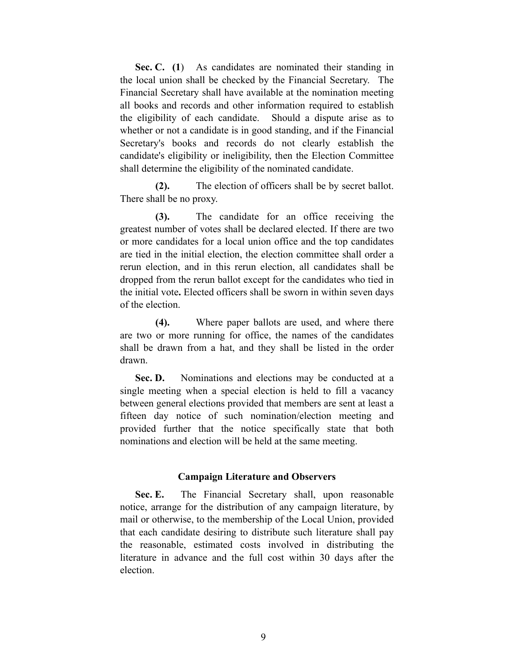Sec. C. (1) As candidates are nominated their standing in the local union shall be checked by the Financial Secretary. The Financial Secretary shall have available at the nomination meeting all books and records and other information required to establish the eligibility of each candidate. Should a dispute arise as to whether or not a candidate is in good standing, and if the Financial Secretary's books and records do not clearly establish the candidate's eligibility or ineligibility, then the Election Committee shall determine the eligibility of the nominated candidate.

 **(2).** The election of officers shall be by secret ballot. There shall be no proxy.

 **(3).** The candidate for an office receiving the greatest number of votes shall be declared elected. If there are two or more candidates for a local union office and the top candidates are tied in the initial election, the election committee shall order a rerun election, and in this rerun election, all candidates shall be dropped from the rerun ballot except for the candidates who tied in the initial vote**.** Elected officers shall be sworn in within seven days of the election.

 **(4).** Where paper ballots are used, and where there are two or more running for office, the names of the candidates shall be drawn from a hat, and they shall be listed in the order drawn.

Sec. D. Nominations and elections may be conducted at a single meeting when a special election is held to fill a vacancy between general elections provided that members are sent at least a fifteen day notice of such nomination/election meeting and provided further that the notice specifically state that both nominations and election will be held at the same meeting.

#### **Campaign Literature and Observers**

**Sec. E.** The Financial Secretary shall, upon reasonable notice, arrange for the distribution of any campaign literature, by mail or otherwise, to the membership of the Local Union, provided that each candidate desiring to distribute such literature shall pay the reasonable, estimated costs involved in distributing the literature in advance and the full cost within 30 days after the election.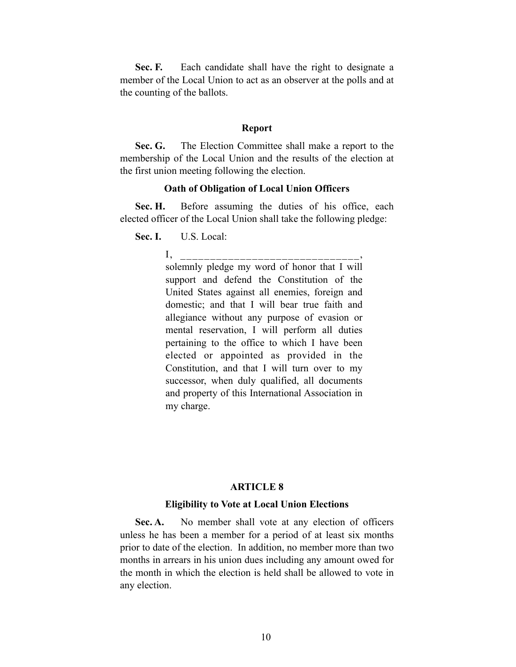**Sec. F.** Each candidate shall have the right to designate a member of the Local Union to act as an observer at the polls and at the counting of the ballots.

#### **Report**

**Sec. G.** The Election Committee shall make a report to the membership of the Local Union and the results of the election at the first union meeting following the election.

#### **Oath of Obligation of Local Union Officers**

Sec. H. Before assuming the duties of his office, each elected officer of the Local Union shall take the following pledge:

**Sec. I.** U.S. Local:

I, \_\_\_\_\_\_\_\_\_\_\_\_\_\_\_\_\_\_\_ solemnly pledge my word of honor that I will support and defend the Constitution of the United States against all enemies, foreign and domestic; and that I will bear true faith and allegiance without any purpose of evasion or mental reservation, I will perform all duties pertaining to the office to which I have been elected or appointed as provided in the Constitution, and that I will turn over to my successor, when duly qualified, all documents and property of this International Association in my charge.

#### **ARTICLE 8**

#### **Eligibility to Vote at Local Union Elections**

**Sec. A.** No member shall vote at any election of officers unless he has been a member for a period of at least six months prior to date of the election. In addition, no member more than two months in arrears in his union dues including any amount owed for the month in which the election is held shall be allowed to vote in any election.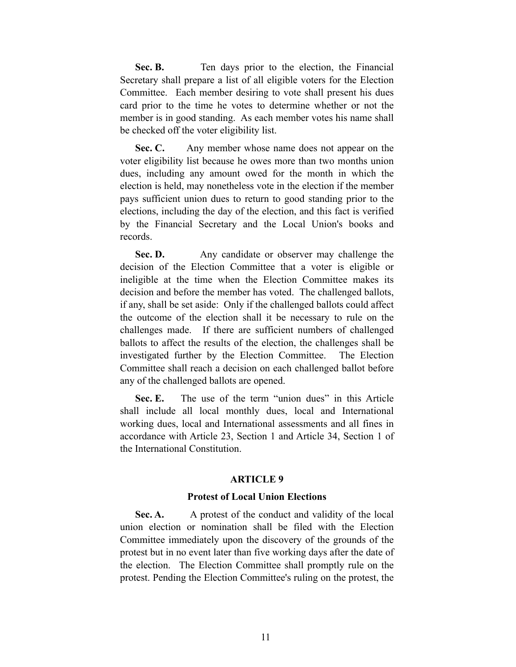Sec. B. Ten days prior to the election, the Financial Secretary shall prepare a list of all eligible voters for the Election Committee. Each member desiring to vote shall present his dues card prior to the time he votes to determine whether or not the member is in good standing. As each member votes his name shall be checked off the voter eligibility list.

Sec. C. Any member whose name does not appear on the voter eligibility list because he owes more than two months union dues, including any amount owed for the month in which the election is held, may nonetheless vote in the election if the member pays sufficient union dues to return to good standing prior to the elections, including the day of the election, and this fact is verified by the Financial Secretary and the Local Union's books and records.

Sec. D. Any candidate or observer may challenge the decision of the Election Committee that a voter is eligible or ineligible at the time when the Election Committee makes its decision and before the member has voted. The challenged ballots, if any, shall be set aside: Only if the challenged ballots could affect the outcome of the election shall it be necessary to rule on the challenges made. If there are sufficient numbers of challenged ballots to affect the results of the election, the challenges shall be investigated further by the Election Committee. The Election Committee shall reach a decision on each challenged ballot before any of the challenged ballots are opened.

**Sec. E.** The use of the term "union dues" in this Article shall include all local monthly dues, local and International working dues, local and International assessments and all fines in accordance with Article 23, Section 1 and Article 34, Section 1 of the International Constitution.

#### **ARTICLE 9**

#### **Protest of Local Union Elections**

**Sec. A.** A protest of the conduct and validity of the local union election or nomination shall be filed with the Election Committee immediately upon the discovery of the grounds of the protest but in no event later than five working days after the date of the election. The Election Committee shall promptly rule on the protest. Pending the Election Committee's ruling on the protest, the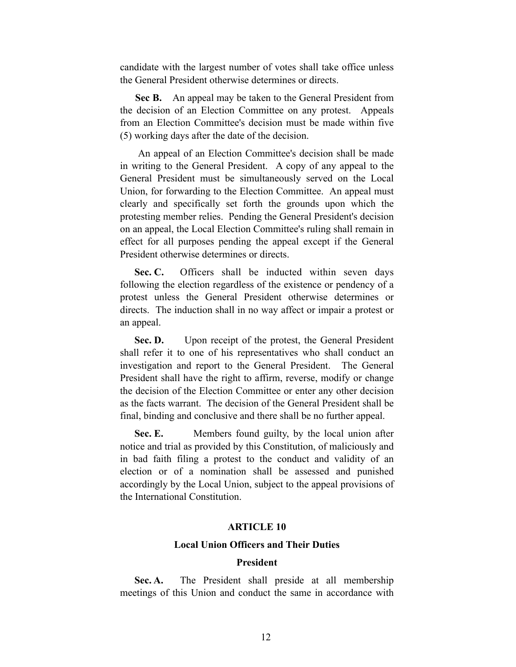candidate with the largest number of votes shall take office unless the General President otherwise determines or directs.

**Sec B.** An appeal may be taken to the General President from the decision of an Election Committee on any protest. Appeals from an Election Committee's decision must be made within five (5) working days after the date of the decision.

 An appeal of an Election Committee's decision shall be made in writing to the General President. A copy of any appeal to the General President must be simultaneously served on the Local Union, for forwarding to the Election Committee. An appeal must clearly and specifically set forth the grounds upon which the protesting member relies. Pending the General President's decision on an appeal, the Local Election Committee's ruling shall remain in effect for all purposes pending the appeal except if the General President otherwise determines or directs.

Sec. C. Officers shall be inducted within seven days following the election regardless of the existence or pendency of a protest unless the General President otherwise determines or directs. The induction shall in no way affect or impair a protest or an appeal.

Sec. D. Upon receipt of the protest, the General President shall refer it to one of his representatives who shall conduct an investigation and report to the General President. The General President shall have the right to affirm, reverse, modify or change the decision of the Election Committee or enter any other decision as the facts warrant. The decision of the General President shall be final, binding and conclusive and there shall be no further appeal.

**Sec. E.** Members found guilty, by the local union after notice and trial as provided by this Constitution, of maliciously and in bad faith filing a protest to the conduct and validity of an election or of a nomination shall be assessed and punished accordingly by the Local Union, subject to the appeal provisions of the International Constitution.

## **ARTICLE 10**

#### **Local Union Officers and Their Duties**

#### **President**

Sec. A. The President shall preside at all membership meetings of this Union and conduct the same in accordance with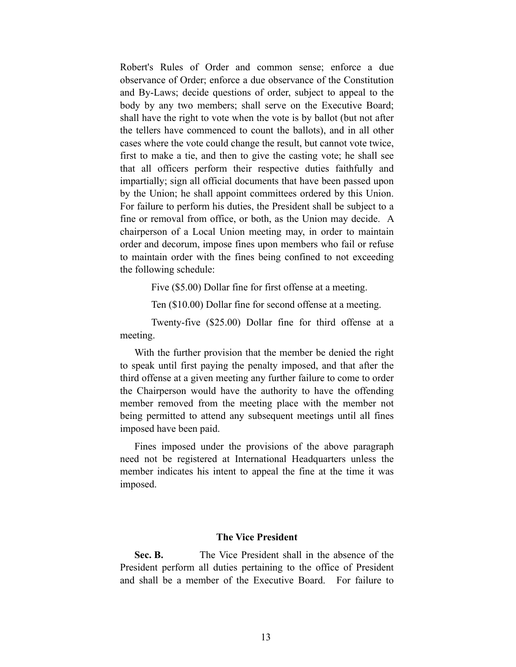Robert's Rules of Order and common sense; enforce a due observance of Order; enforce a due observance of the Constitution and By-Laws; decide questions of order, subject to appeal to the body by any two members; shall serve on the Executive Board; shall have the right to vote when the vote is by ballot (but not after the tellers have commenced to count the ballots), and in all other cases where the vote could change the result, but cannot vote twice, first to make a tie, and then to give the casting vote; he shall see that all officers perform their respective duties faithfully and impartially; sign all official documents that have been passed upon by the Union; he shall appoint committees ordered by this Union. For failure to perform his duties, the President shall be subject to a fine or removal from office, or both, as the Union may decide. A chairperson of a Local Union meeting may, in order to maintain order and decorum, impose fines upon members who fail or refuse to maintain order with the fines being confined to not exceeding the following schedule:

Five (\$5.00) Dollar fine for first offense at a meeting.

Ten (\$10.00) Dollar fine for second offense at a meeting.

 Twenty-five (\$25.00) Dollar fine for third offense at a meeting.

 With the further provision that the member be denied the right to speak until first paying the penalty imposed, and that after the third offense at a given meeting any further failure to come to order the Chairperson would have the authority to have the offending member removed from the meeting place with the member not being permitted to attend any subsequent meetings until all fines imposed have been paid.

 Fines imposed under the provisions of the above paragraph need not be registered at International Headquarters unless the member indicates his intent to appeal the fine at the time it was imposed.

## **The Vice President**

 **Sec. B.** The Vice President shall in the absence of the President perform all duties pertaining to the office of President and shall be a member of the Executive Board. For failure to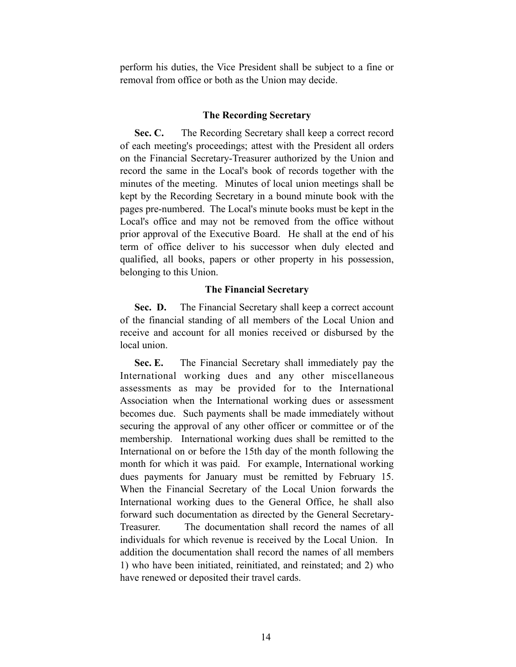perform his duties, the Vice President shall be subject to a fine or removal from office or both as the Union may decide.

### **The Recording Secretary**

Sec. C. The Recording Secretary shall keep a correct record of each meeting's proceedings; attest with the President all orders on the Financial Secretary-Treasurer authorized by the Union and record the same in the Local's book of records together with the minutes of the meeting. Minutes of local union meetings shall be kept by the Recording Secretary in a bound minute book with the pages pre-numbered. The Local's minute books must be kept in the Local's office and may not be removed from the office without prior approval of the Executive Board. He shall at the end of his term of office deliver to his successor when duly elected and qualified, all books, papers or other property in his possession, belonging to this Union.

## **The Financial Secretary**

**Sec. D.** The Financial Secretary shall keep a correct account of the financial standing of all members of the Local Union and receive and account for all monies received or disbursed by the local union.

 **Sec. E.** The Financial Secretary shall immediately pay the International working dues and any other miscellaneous assessments as may be provided for to the International Association when the International working dues or assessment becomes due. Such payments shall be made immediately without securing the approval of any other officer or committee or of the membership. International working dues shall be remitted to the International on or before the 15th day of the month following the month for which it was paid. For example, International working dues payments for January must be remitted by February 15. When the Financial Secretary of the Local Union forwards the International working dues to the General Office, he shall also forward such documentation as directed by the General Secretary-Treasurer. The documentation shall record the names of all individuals for which revenue is received by the Local Union. In addition the documentation shall record the names of all members 1) who have been initiated, reinitiated, and reinstated; and 2) who have renewed or deposited their travel cards.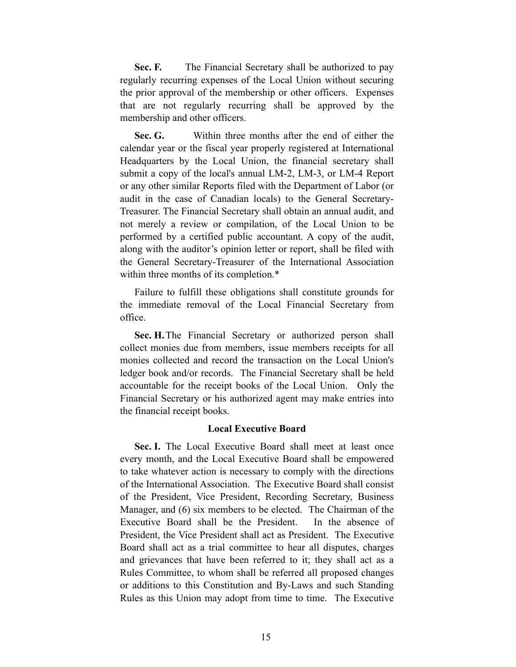**Sec. F.** The Financial Secretary shall be authorized to pay regularly recurring expenses of the Local Union without securing the prior approval of the membership or other officers. Expenses that are not regularly recurring shall be approved by the membership and other officers.

 **Sec. G.** Within three months after the end of either the calendar year or the fiscal year properly registered at International Headquarters by the Local Union, the financial secretary shall submit a copy of the local's annual LM-2, LM-3, or LM-4 Report or any other similar Reports filed with the Department of Labor (or audit in the case of Canadian locals) to the General Secretary-Treasurer. The Financial Secretary shall obtain an annual audit, and not merely a review or compilation, of the Local Union to be performed by a certified public accountant. A copy of the audit, along with the auditor's opinion letter or report, shall be filed with the General Secretary-Treasurer of the International Association within three months of its completion.\*

 Failure to fulfill these obligations shall constitute grounds for the immediate removal of the Local Financial Secretary from office.

Sec. H. The Financial Secretary or authorized person shall collect monies due from members, issue members receipts for all monies collected and record the transaction on the Local Union's ledger book and/or records. The Financial Secretary shall be held accountable for the receipt books of the Local Union. Only the Financial Secretary or his authorized agent may make entries into the financial receipt books.

#### **Local Executive Board**

 **Sec. I.** The Local Executive Board shall meet at least once every month, and the Local Executive Board shall be empowered to take whatever action is necessary to comply with the directions of the International Association. The Executive Board shall consist of the President, Vice President, Recording Secretary, Business Manager, and (6) six members to be elected. The Chairman of the Executive Board shall be the President. In the absence of President, the Vice President shall act as President. The Executive Board shall act as a trial committee to hear all disputes, charges and grievances that have been referred to it; they shall act as a Rules Committee, to whom shall be referred all proposed changes or additions to this Constitution and By-Laws and such Standing Rules as this Union may adopt from time to time. The Executive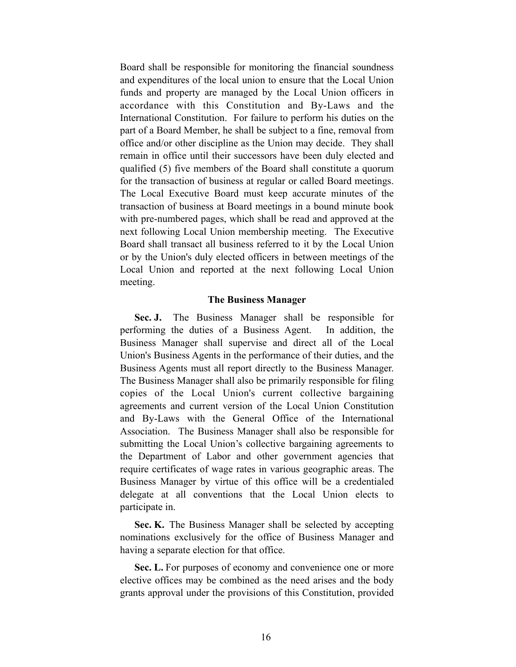Board shall be responsible for monitoring the financial soundness and expenditures of the local union to ensure that the Local Union funds and property are managed by the Local Union officers in accordance with this Constitution and By-Laws and the International Constitution. For failure to perform his duties on the part of a Board Member, he shall be subject to a fine, removal from office and/or other discipline as the Union may decide. They shall remain in office until their successors have been duly elected and qualified (5) five members of the Board shall constitute a quorum for the transaction of business at regular or called Board meetings. The Local Executive Board must keep accurate minutes of the transaction of business at Board meetings in a bound minute book with pre-numbered pages, which shall be read and approved at the next following Local Union membership meeting. The Executive Board shall transact all business referred to it by the Local Union or by the Union's duly elected officers in between meetings of the Local Union and reported at the next following Local Union meeting.

#### **The Business Manager**

 **Sec. J.** The Business Manager shall be responsible for performing the duties of a Business Agent. In addition, the Business Manager shall supervise and direct all of the Local Union's Business Agents in the performance of their duties, and the Business Agents must all report directly to the Business Manager. The Business Manager shall also be primarily responsible for filing copies of the Local Union's current collective bargaining agreements and current version of the Local Union Constitution and By-Laws with the General Office of the International Association. The Business Manager shall also be responsible for submitting the Local Union's collective bargaining agreements to the Department of Labor and other government agencies that require certificates of wage rates in various geographic areas. The Business Manager by virtue of this office will be a credentialed delegate at all conventions that the Local Union elects to participate in.

 **Sec. K.** The Business Manager shall be selected by accepting nominations exclusively for the office of Business Manager and having a separate election for that office.

 **Sec. L.** For purposes of economy and convenience one or more elective offices may be combined as the need arises and the body grants approval under the provisions of this Constitution, provided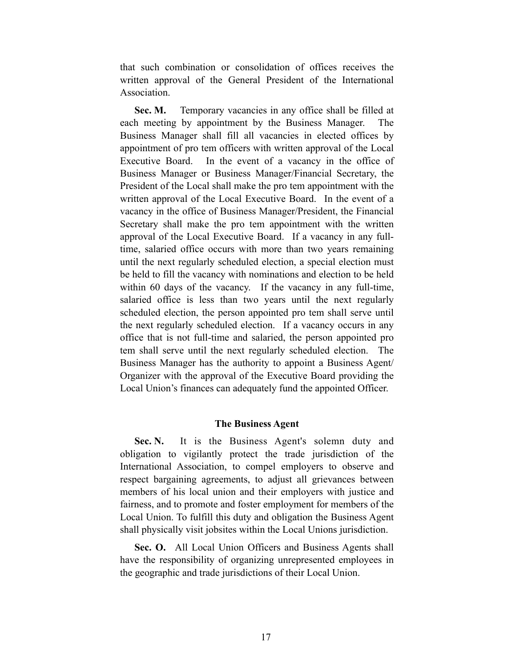that such combination or consolidation of offices receives the written approval of the General President of the International Association.

Sec. M. Temporary vacancies in any office shall be filled at each meeting by appointment by the Business Manager. The Business Manager shall fill all vacancies in elected offices by appointment of pro tem officers with written approval of the Local Executive Board. In the event of a vacancy in the office of Business Manager or Business Manager/Financial Secretary, the President of the Local shall make the pro tem appointment with the written approval of the Local Executive Board. In the event of a vacancy in the office of Business Manager/President, the Financial Secretary shall make the pro tem appointment with the written approval of the Local Executive Board. If a vacancy in any fulltime, salaried office occurs with more than two years remaining until the next regularly scheduled election, a special election must be held to fill the vacancy with nominations and election to be held within 60 days of the vacancy. If the vacancy in any full-time, salaried office is less than two years until the next regularly scheduled election, the person appointed pro tem shall serve until the next regularly scheduled election. If a vacancy occurs in any office that is not full-time and salaried, the person appointed pro tem shall serve until the next regularly scheduled election. The Business Manager has the authority to appoint a Business Agent/ Organizer with the approval of the Executive Board providing the Local Union's finances can adequately fund the appointed Officer.

#### **The Business Agent**

Sec. N. It is the Business Agent's solemn duty and obligation to vigilantly protect the trade jurisdiction of the International Association, to compel employers to observe and respect bargaining agreements, to adjust all grievances between members of his local union and their employers with justice and fairness, and to promote and foster employment for members of the Local Union. To fulfill this duty and obligation the Business Agent shall physically visit jobsites within the Local Unions jurisdiction.

 **Sec. O.** All Local Union Officers and Business Agents shall have the responsibility of organizing unrepresented employees in the geographic and trade jurisdictions of their Local Union.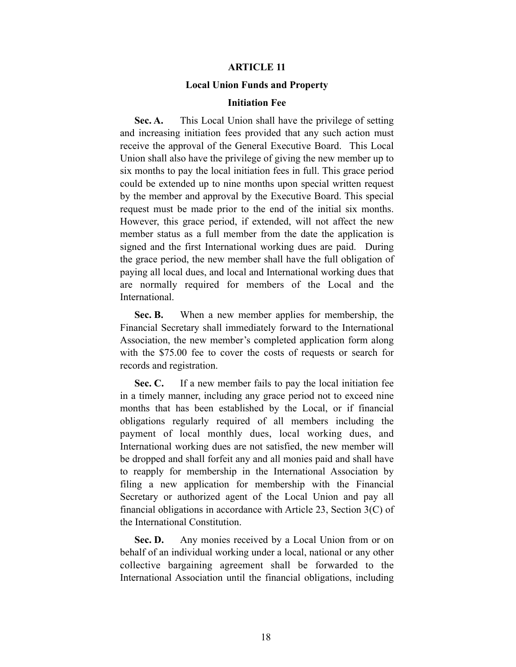#### **ARTICLE 11**

#### **Local Union Funds and Property**

#### **Initiation Fee**

**Sec. A.** This Local Union shall have the privilege of setting and increasing initiation fees provided that any such action must receive the approval of the General Executive Board. This Local Union shall also have the privilege of giving the new member up to six months to pay the local initiation fees in full. This grace period could be extended up to nine months upon special written request by the member and approval by the Executive Board. This special request must be made prior to the end of the initial six months. However, this grace period, if extended, will not affect the new member status as a full member from the date the application is signed and the first International working dues are paid. During the grace period, the new member shall have the full obligation of paying all local dues, and local and International working dues that are normally required for members of the Local and the International.

 **Sec. B.** When a new member applies for membership, the Financial Secretary shall immediately forward to the International Association, the new member's completed application form along with the \$75.00 fee to cover the costs of requests or search for records and registration.

 **Sec. C.** If a new member fails to pay the local initiation fee in a timely manner, including any grace period not to exceed nine months that has been established by the Local, or if financial obligations regularly required of all members including the payment of local monthly dues, local working dues, and International working dues are not satisfied, the new member will be dropped and shall forfeit any and all monies paid and shall have to reapply for membership in the International Association by filing a new application for membership with the Financial Secretary or authorized agent of the Local Union and pay all financial obligations in accordance with Article 23, Section 3(C) of the International Constitution.

**Sec. D.** Any monies received by a Local Union from or on behalf of an individual working under a local, national or any other collective bargaining agreement shall be forwarded to the International Association until the financial obligations, including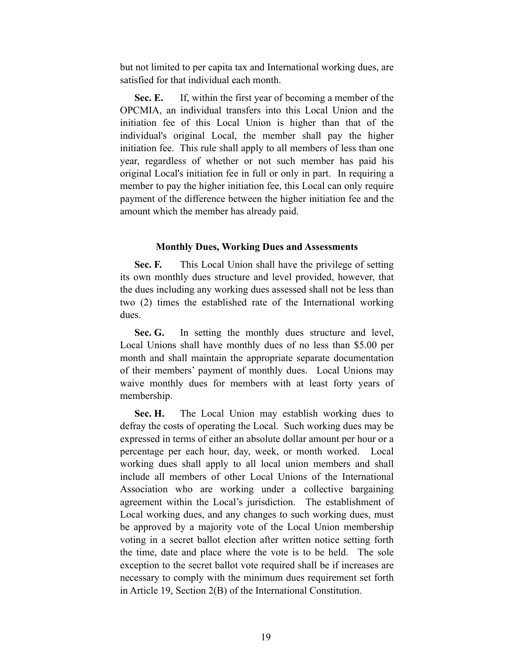but not limited to per capita tax and International working dues, are satisfied for that individual each month.

 **Sec. E.** If, within the first year of becoming a member of the OPCMIA, an individual transfers into this Local Union and the initiation fee of this Local Union is higher than that of the individual's original Local, the member shall pay the higher initiation fee. This rule shall apply to all members of less than one year, regardless of whether or not such member has paid his original Local's initiation fee in full or only in part. In requiring a member to pay the higher initiation fee, this Local can only require payment of the difference between the higher initiation fee and the amount which the member has already paid.

#### **Monthly Dues, Working Dues and Assessments**

**Sec. F.** This Local Union shall have the privilege of setting its own monthly dues structure and level provided, however, that the dues including any working dues assessed shall not be less than two (2) times the established rate of the International working dues.

 **Sec. G.** In setting the monthly dues structure and level, Local Unions shall have monthly dues of no less than \$5.00 per month and shall maintain the appropriate separate documentation of their members' payment of monthly dues. Local Unions may waive monthly dues for members with at least forty years of membership.

Sec. H. The Local Union may establish working dues to defray the costs of operating the Local. Such working dues may be expressed in terms of either an absolute dollar amount per hour or a percentage per each hour, day, week, or month worked. Local working dues shall apply to all local union members and shall include all members of other Local Unions of the International Association who are working under a collective bargaining agreement within the Local's jurisdiction. The establishment of Local working dues, and any changes to such working dues, must be approved by a majority vote of the Local Union membership voting in a secret ballot election after written notice setting forth the time, date and place where the vote is to be held. The sole exception to the secret ballot vote required shall be if increases are necessary to comply with the minimum dues requirement set forth in Article 19, Section 2(B) of the International Constitution.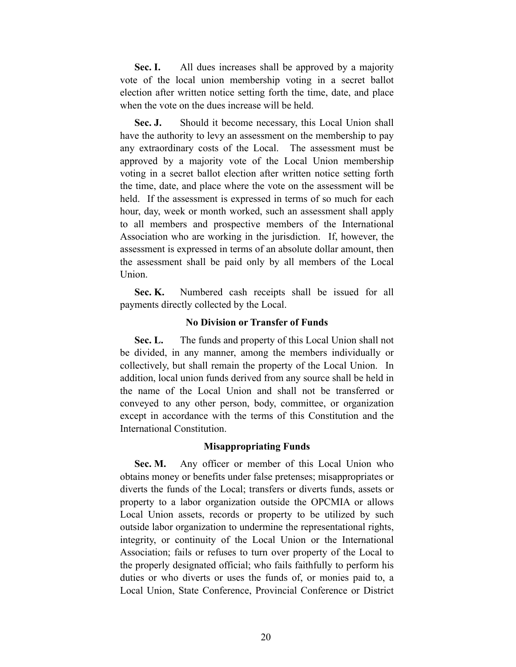**Sec. I.** All dues increases shall be approved by a majority vote of the local union membership voting in a secret ballot election after written notice setting forth the time, date, and place when the vote on the dues increase will be held.

**Sec. J.** Should it become necessary, this Local Union shall have the authority to levy an assessment on the membership to pay any extraordinary costs of the Local. The assessment must be approved by a majority vote of the Local Union membership voting in a secret ballot election after written notice setting forth the time, date, and place where the vote on the assessment will be held. If the assessment is expressed in terms of so much for each hour, day, week or month worked, such an assessment shall apply to all members and prospective members of the International Association who are working in the jurisdiction. If, however, the assessment is expressed in terms of an absolute dollar amount, then the assessment shall be paid only by all members of the Local Union.

 **Sec. K.** Numbered cash receipts shall be issued for all payments directly collected by the Local.

## **No Division or Transfer of Funds**

 **Sec. L.** The funds and property of this Local Union shall not be divided, in any manner, among the members individually or collectively, but shall remain the property of the Local Union. In addition, local union funds derived from any source shall be held in the name of the Local Union and shall not be transferred or conveyed to any other person, body, committee, or organization except in accordance with the terms of this Constitution and the International Constitution.

#### **Misappropriating Funds**

**Sec. M.** Any officer or member of this Local Union who obtains money or benefits under false pretenses; misappropriates or diverts the funds of the Local; transfers or diverts funds, assets or property to a labor organization outside the OPCMIA or allows Local Union assets, records or property to be utilized by such outside labor organization to undermine the representational rights, integrity, or continuity of the Local Union or the International Association; fails or refuses to turn over property of the Local to the properly designated official; who fails faithfully to perform his duties or who diverts or uses the funds of, or monies paid to, a Local Union, State Conference, Provincial Conference or District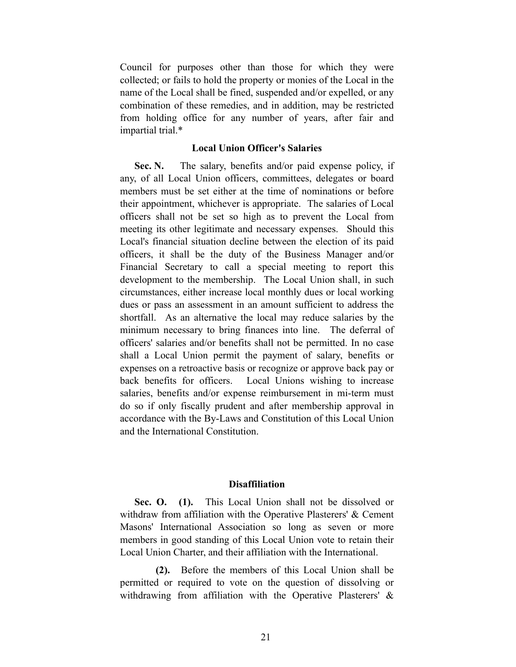Council for purposes other than those for which they were collected; or fails to hold the property or monies of the Local in the name of the Local shall be fined, suspended and/or expelled, or any combination of these remedies, and in addition, may be restricted from holding office for any number of years, after fair and impartial trial.\*

## **Local Union Officer's Salaries**

Sec. N. The salary, benefits and/or paid expense policy, if any, of all Local Union officers, committees, delegates or board members must be set either at the time of nominations or before their appointment, whichever is appropriate. The salaries of Local officers shall not be set so high as to prevent the Local from meeting its other legitimate and necessary expenses. Should this Local's financial situation decline between the election of its paid officers, it shall be the duty of the Business Manager and/or Financial Secretary to call a special meeting to report this development to the membership. The Local Union shall, in such circumstances, either increase local monthly dues or local working dues or pass an assessment in an amount sufficient to address the shortfall. As an alternative the local may reduce salaries by the minimum necessary to bring finances into line. The deferral of officers' salaries and/or benefits shall not be permitted. In no case shall a Local Union permit the payment of salary, benefits or expenses on a retroactive basis or recognize or approve back pay or back benefits for officers. Local Unions wishing to increase salaries, benefits and/or expense reimbursement in mi-term must do so if only fiscally prudent and after membership approval in accordance with the By-Laws and Constitution of this Local Union and the International Constitution.

#### **Disaffiliation**

 **Sec. O. (1).** This Local Union shall not be dissolved or withdraw from affiliation with the Operative Plasterers' & Cement Masons' International Association so long as seven or more members in good standing of this Local Union vote to retain their Local Union Charter, and their affiliation with the International.

 **(2).** Before the members of this Local Union shall be permitted or required to vote on the question of dissolving or withdrawing from affiliation with the Operative Plasterers' &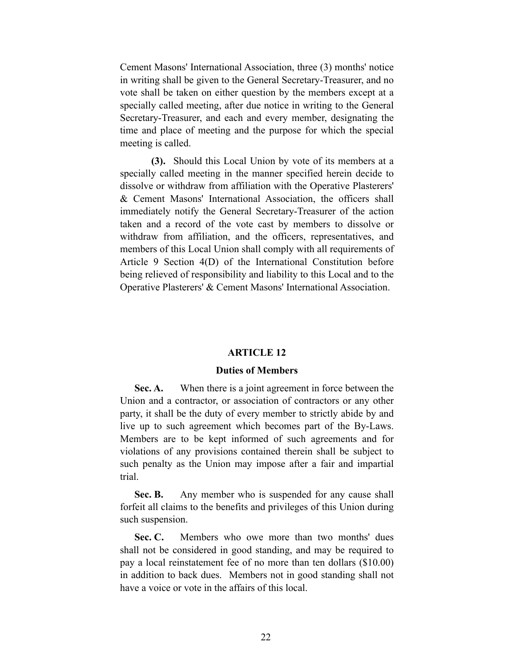Cement Masons' International Association, three (3) months' notice in writing shall be given to the General Secretary-Treasurer, and no vote shall be taken on either question by the members except at a specially called meeting, after due notice in writing to the General Secretary-Treasurer, and each and every member, designating the time and place of meeting and the purpose for which the special meeting is called.

 **(3).** Should this Local Union by vote of its members at a specially called meeting in the manner specified herein decide to dissolve or withdraw from affiliation with the Operative Plasterers' & Cement Masons' International Association, the officers shall immediately notify the General Secretary-Treasurer of the action taken and a record of the vote cast by members to dissolve or withdraw from affiliation, and the officers, representatives, and members of this Local Union shall comply with all requirements of Article 9 Section 4(D) of the International Constitution before being relieved of responsibility and liability to this Local and to the Operative Plasterers' & Cement Masons' International Association.

#### **ARTICLE 12**

#### **Duties of Members**

 **Sec. A.** When there is a joint agreement in force between the Union and a contractor, or association of contractors or any other party, it shall be the duty of every member to strictly abide by and live up to such agreement which becomes part of the By-Laws. Members are to be kept informed of such agreements and for violations of any provisions contained therein shall be subject to such penalty as the Union may impose after a fair and impartial trial.

**Sec. B.** Any member who is suspended for any cause shall forfeit all claims to the benefits and privileges of this Union during such suspension.

Sec. C. Members who owe more than two months' dues shall not be considered in good standing, and may be required to pay a local reinstatement fee of no more than ten dollars (\$10.00) in addition to back dues. Members not in good standing shall not have a voice or vote in the affairs of this local.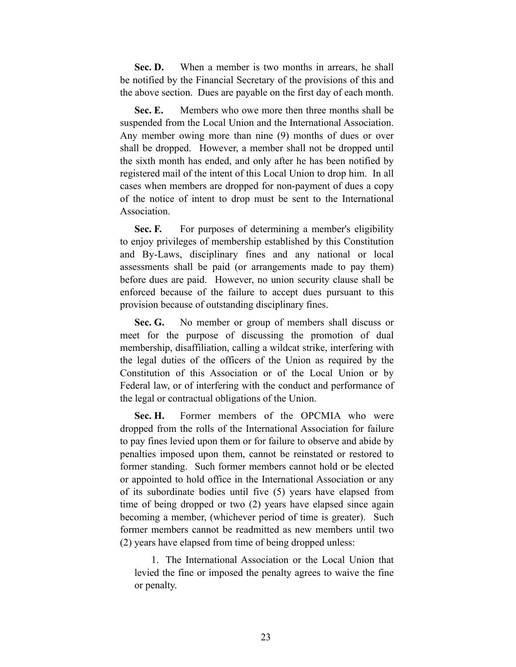Sec. D. When a member is two months in arrears, he shall be notified by the Financial Secretary of the provisions of this and the above section. Dues are payable on the first day of each month.

 **Sec. E.** Members who owe more then three months shall be suspended from the Local Union and the International Association. Any member owing more than nine (9) months of dues or over shall be dropped. However, a member shall not be dropped until the sixth month has ended, and only after he has been notified by registered mail of the intent of this Local Union to drop him. In all cases when members are dropped for non-payment of dues a copy of the notice of intent to drop must be sent to the International **Association** 

**Sec. F.** For purposes of determining a member's eligibility to enjoy privileges of membership established by this Constitution and By-Laws, disciplinary fines and any national or local assessments shall be paid (or arrangements made to pay them) before dues are paid. However, no union security clause shall be enforced because of the failure to accept dues pursuant to this provision because of outstanding disciplinary fines.

 **Sec. G.** No member or group of members shall discuss or meet for the purpose of discussing the promotion of dual membership, disaffiliation, calling a wildcat strike, interfering with the legal duties of the officers of the Union as required by the Constitution of this Association or of the Local Union or by Federal law, or of interfering with the conduct and performance of the legal or contractual obligations of the Union.

 **Sec. H.** Former members of the OPCMIA who were dropped from the rolls of the International Association for failure to pay fines levied upon them or for failure to observe and abide by penalties imposed upon them, cannot be reinstated or restored to former standing. Such former members cannot hold or be elected or appointed to hold office in the International Association or any of its subordinate bodies until five (5) years have elapsed from time of being dropped or two (2) years have elapsed since again becoming a member, (whichever period of time is greater). Such former members cannot be readmitted as new members until two (2) years have elapsed from time of being dropped unless:

 1. The International Association or the Local Union that levied the fine or imposed the penalty agrees to waive the fine or penalty.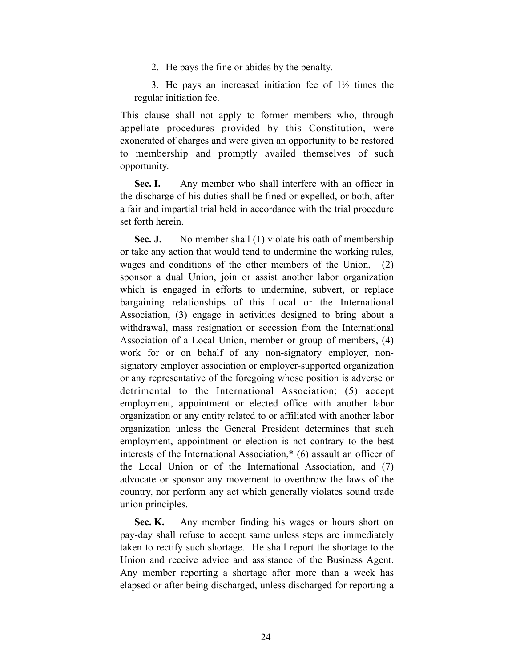2. He pays the fine or abides by the penalty.

3. He pays an increased initiation fee of  $1\frac{1}{2}$  times the regular initiation fee.

 This clause shall not apply to former members who, through appellate procedures provided by this Constitution, were exonerated of charges and were given an opportunity to be restored to membership and promptly availed themselves of such opportunity.

**Sec. I.** Any member who shall interfere with an officer in the discharge of his duties shall be fined or expelled, or both, after a fair and impartial trial held in accordance with the trial procedure set forth herein.

**Sec. J.** No member shall (1) violate his oath of membership or take any action that would tend to undermine the working rules, wages and conditions of the other members of the Union, (2) sponsor a dual Union, join or assist another labor organization which is engaged in efforts to undermine, subvert, or replace bargaining relationships of this Local or the International Association, (3) engage in activities designed to bring about a withdrawal, mass resignation or secession from the International Association of a Local Union, member or group of members, (4) work for or on behalf of any non-signatory employer, nonsignatory employer association or employer-supported organization or any representative of the foregoing whose position is adverse or detrimental to the International Association; (5) accept employment, appointment or elected office with another labor organization or any entity related to or affiliated with another labor organization unless the General President determines that such employment, appointment or election is not contrary to the best interests of the International Association,\* (6) assault an officer of the Local Union or of the International Association, and (7) advocate or sponsor any movement to overthrow the laws of the country, nor perform any act which generally violates sound trade union principles.

**Sec. K.** Any member finding his wages or hours short on pay-day shall refuse to accept same unless steps are immediately taken to rectify such shortage. He shall report the shortage to the Union and receive advice and assistance of the Business Agent. Any member reporting a shortage after more than a week has elapsed or after being discharged, unless discharged for reporting a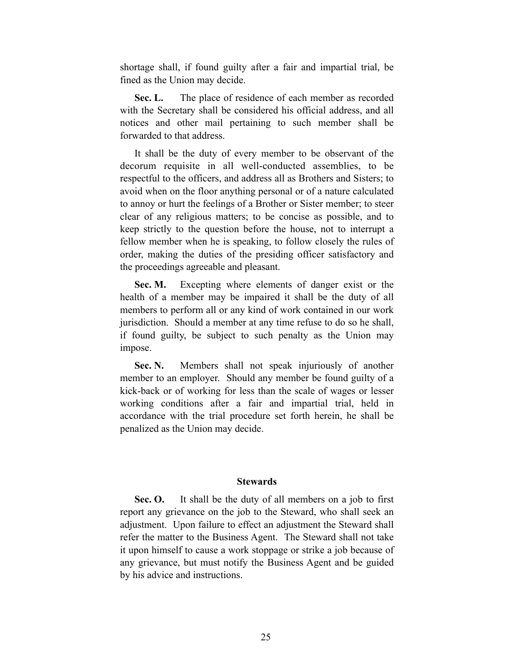shortage shall, if found guilty after a fair and impartial trial, be fined as the Union may decide.

Sec. L. The place of residence of each member as recorded with the Secretary shall be considered his official address, and all notices and other mail pertaining to such member shall be forwarded to that address.

 It shall be the duty of every member to be observant of the decorum requisite in all well-conducted assemblies, to be respectful to the officers, and address all as Brothers and Sisters; to avoid when on the floor anything personal or of a nature calculated to annoy or hurt the feelings of a Brother or Sister member; to steer clear of any religious matters; to be concise as possible, and to keep strictly to the question before the house, not to interrupt a fellow member when he is speaking, to follow closely the rules of order, making the duties of the presiding officer satisfactory and the proceedings agreeable and pleasant.

 **Sec. M.** Excepting where elements of danger exist or the health of a member may be impaired it shall be the duty of all members to perform all or any kind of work contained in our work jurisdiction. Should a member at any time refuse to do so he shall, if found guilty, be subject to such penalty as the Union may impose.

Sec. N. Members shall not speak injuriously of another member to an employer. Should any member be found guilty of a kick-back or of working for less than the scale of wages or lesser working conditions after a fair and impartial trial, held in accordance with the trial procedure set forth herein, he shall be penalized as the Union may decide.

#### **Stewards**

 **Sec. O.** It shall be the duty of all members on a job to first report any grievance on the job to the Steward, who shall seek an adjustment. Upon failure to effect an adjustment the Steward shall refer the matter to the Business Agent. The Steward shall not take it upon himself to cause a work stoppage or strike a job because of any grievance, but must notify the Business Agent and be guided by his advice and instructions.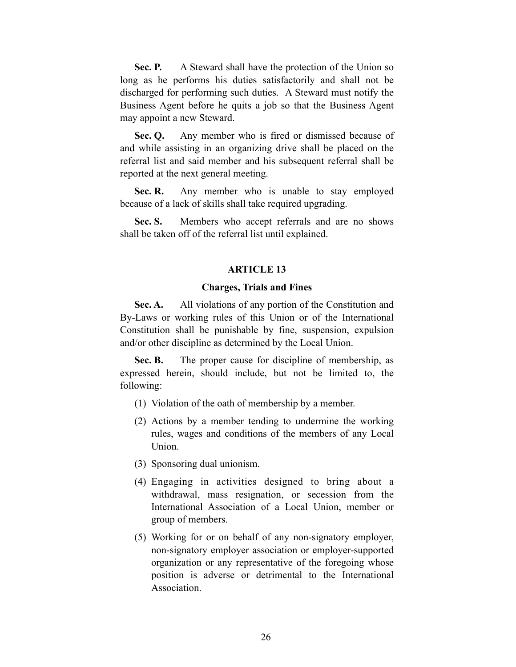**Sec. P.** A Steward shall have the protection of the Union so long as he performs his duties satisfactorily and shall not be discharged for performing such duties. A Steward must notify the Business Agent before he quits a job so that the Business Agent may appoint a new Steward.

 **Sec. Q.** Any member who is fired or dismissed because of and while assisting in an organizing drive shall be placed on the referral list and said member and his subsequent referral shall be reported at the next general meeting.

**Sec. R.** Any member who is unable to stay employed because of a lack of skills shall take required upgrading.

Sec. S. Members who accept referrals and are no shows shall be taken off of the referral list until explained.

#### **ARTICLE 13**

#### **Charges, Trials and Fines**

**Sec. A.** All violations of any portion of the Constitution and By-Laws or working rules of this Union or of the International Constitution shall be punishable by fine, suspension, expulsion and/or other discipline as determined by the Local Union.

Sec. B. The proper cause for discipline of membership, as expressed herein, should include, but not be limited to, the following:

- (1) Violation of the oath of membership by a member.
- (2) Actions by a member tending to undermine the working rules, wages and conditions of the members of any Local Union.
- (3) Sponsoring dual unionism.
- (4) Engaging in activities designed to bring about a withdrawal, mass resignation, or secession from the International Association of a Local Union, member or group of members.
- (5) Working for or on behalf of any non-signatory employer, non-signatory employer association or employer-supported organization or any representative of the foregoing whose position is adverse or detrimental to the International **Association**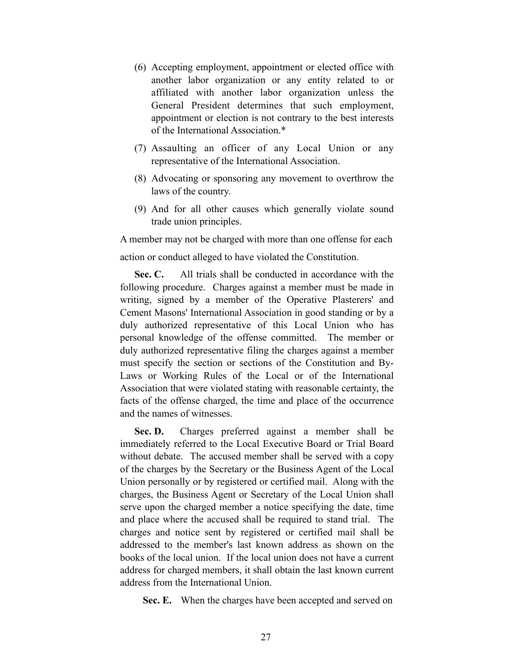- (6) Accepting employment, appointment or elected office with another labor organization or any entity related to or affiliated with another labor organization unless the General President determines that such employment, appointment or election is not contrary to the best interests of the International Association.\*
- (7) Assaulting an officer of any Local Union or any representative of the International Association.
- (8) Advocating or sponsoring any movement to overthrow the laws of the country.
- (9) And for all other causes which generally violate sound trade union principles.

A member may not be charged with more than one offense for each action or conduct alleged to have violated the Constitution.

 **Sec. C.** All trials shall be conducted in accordance with the following procedure. Charges against a member must be made in writing, signed by a member of the Operative Plasterers' and Cement Masons' International Association in good standing or by a duly authorized representative of this Local Union who has personal knowledge of the offense committed. The member or duly authorized representative filing the charges against a member must specify the section or sections of the Constitution and By-Laws or Working Rules of the Local or of the International Association that were violated stating with reasonable certainty, the facts of the offense charged, the time and place of the occurrence and the names of witnesses.

Sec. D. Charges preferred against a member shall be immediately referred to the Local Executive Board or Trial Board without debate. The accused member shall be served with a copy of the charges by the Secretary or the Business Agent of the Local Union personally or by registered or certified mail. Along with the charges, the Business Agent or Secretary of the Local Union shall serve upon the charged member a notice specifying the date, time and place where the accused shall be required to stand trial. The charges and notice sent by registered or certified mail shall be addressed to the member's last known address as shown on the books of the local union. If the local union does not have a current address for charged members, it shall obtain the last known current address from the International Union.

**Sec. E.** When the charges have been accepted and served on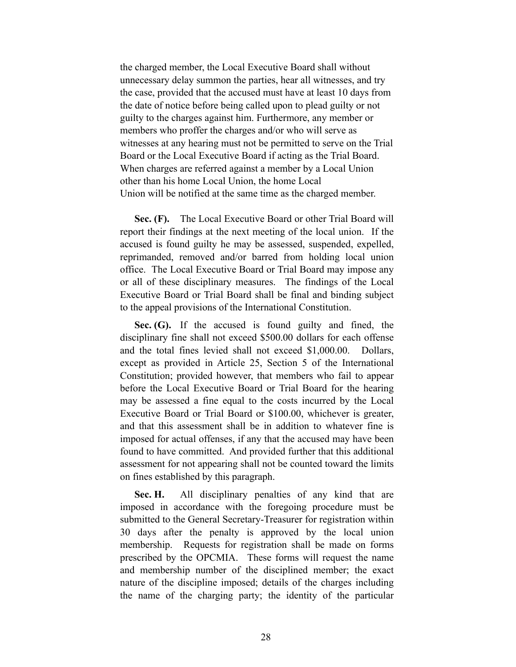the charged member, the Local Executive Board shall without unnecessary delay summon the parties, hear all witnesses, and try the case, provided that the accused must have at least 10 days from the date of notice before being called upon to plead guilty or not guilty to the charges against him. Furthermore, any member or members who proffer the charges and/or who will serve as witnesses at any hearing must not be permitted to serve on the Trial Board or the Local Executive Board if acting as the Trial Board. When charges are referred against a member by a Local Union other than his home Local Union, the home Local Union will be notified at the same time as the charged member.

 **Sec. (F).** The Local Executive Board or other Trial Board will report their findings at the next meeting of the local union. If the accused is found guilty he may be assessed, suspended, expelled, reprimanded, removed and/or barred from holding local union office. The Local Executive Board or Trial Board may impose any or all of these disciplinary measures. The findings of the Local Executive Board or Trial Board shall be final and binding subject to the appeal provisions of the International Constitution.

 **Sec. (G).** If the accused is found guilty and fined, the disciplinary fine shall not exceed \$500.00 dollars for each offense and the total fines levied shall not exceed \$1,000.00. Dollars, except as provided in Article 25, Section 5 of the International Constitution; provided however, that members who fail to appear before the Local Executive Board or Trial Board for the hearing may be assessed a fine equal to the costs incurred by the Local Executive Board or Trial Board or \$100.00, whichever is greater, and that this assessment shall be in addition to whatever fine is imposed for actual offenses, if any that the accused may have been found to have committed. And provided further that this additional assessment for not appearing shall not be counted toward the limits on fines established by this paragraph.

 **Sec. H.** All disciplinary penalties of any kind that are imposed in accordance with the foregoing procedure must be submitted to the General Secretary-Treasurer for registration within 30 days after the penalty is approved by the local union membership. Requests for registration shall be made on forms prescribed by the OPCMIA. These forms will request the name and membership number of the disciplined member; the exact nature of the discipline imposed; details of the charges including the name of the charging party; the identity of the particular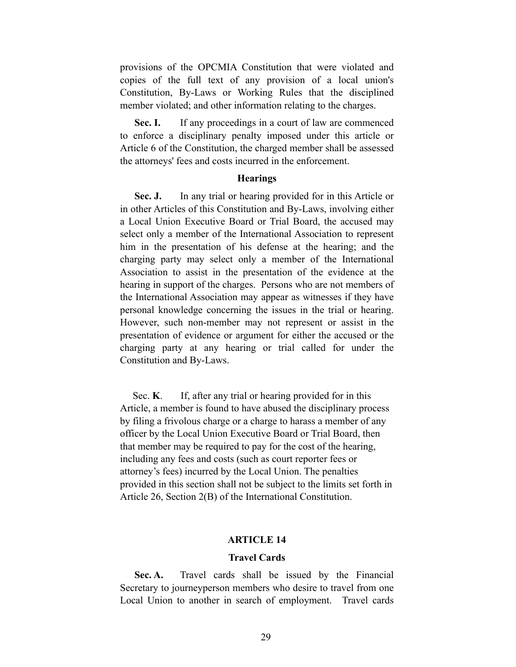provisions of the OPCMIA Constitution that were violated and copies of the full text of any provision of a local union's Constitution, By-Laws or Working Rules that the disciplined member violated; and other information relating to the charges.

**Sec. I.** If any proceedings in a court of law are commenced to enforce a disciplinary penalty imposed under this article or Article 6 of the Constitution, the charged member shall be assessed the attorneys' fees and costs incurred in the enforcement.

#### **Hearings**

**Sec. J.** In any trial or hearing provided for in this Article or in other Articles of this Constitution and By-Laws, involving either a Local Union Executive Board or Trial Board, the accused may select only a member of the International Association to represent him in the presentation of his defense at the hearing; and the charging party may select only a member of the International Association to assist in the presentation of the evidence at the hearing in support of the charges. Persons who are not members of the International Association may appear as witnesses if they have personal knowledge concerning the issues in the trial or hearing. However, such non-member may not represent or assist in the presentation of evidence or argument for either the accused or the charging party at any hearing or trial called for under the Constitution and By-Laws.

Sec. **K**. If, after any trial or hearing provided for in this Article, a member is found to have abused the disciplinary process by filing a frivolous charge or a charge to harass a member of any officer by the Local Union Executive Board or Trial Board, then that member may be required to pay for the cost of the hearing, including any fees and costs (such as court reporter fees or attorney's fees) incurred by the Local Union. The penalties provided in this section shall not be subject to the limits set forth in Article 26, Section 2(B) of the International Constitution.

#### **ARTICLE 14**

#### **Travel Cards**

 **Sec. A.** Travel cards shall be issued by the Financial Secretary to journeyperson members who desire to travel from one Local Union to another in search of employment. Travel cards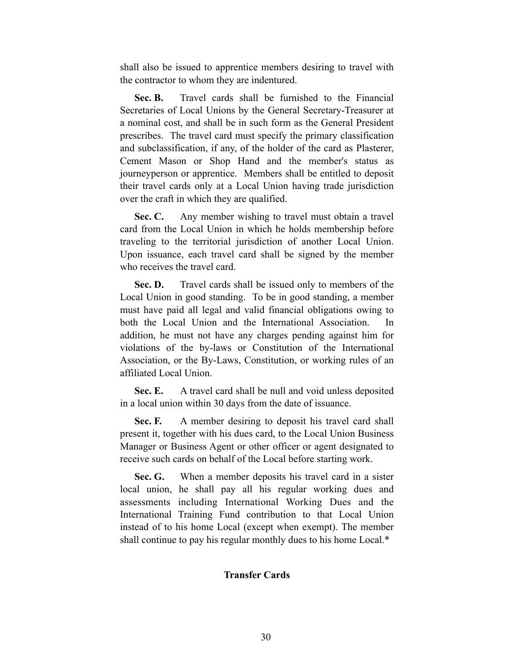shall also be issued to apprentice members desiring to travel with the contractor to whom they are indentured.

 **Sec. B.** Travel cards shall be furnished to the Financial Secretaries of Local Unions by the General Secretary-Treasurer at a nominal cost, and shall be in such form as the General President prescribes. The travel card must specify the primary classification and subclassification, if any, of the holder of the card as Plasterer, Cement Mason or Shop Hand and the member's status as journeyperson or apprentice. Members shall be entitled to deposit their travel cards only at a Local Union having trade jurisdiction over the craft in which they are qualified.

Sec. C. Any member wishing to travel must obtain a travel card from the Local Union in which he holds membership before traveling to the territorial jurisdiction of another Local Union. Upon issuance, each travel card shall be signed by the member who receives the travel card.

**Sec. D.** Travel cards shall be issued only to members of the Local Union in good standing. To be in good standing, a member must have paid all legal and valid financial obligations owing to both the Local Union and the International Association. In addition, he must not have any charges pending against him for violations of the by-laws or Constitution of the International Association, or the By-Laws, Constitution, or working rules of an affiliated Local Union.

 **Sec. E.** A travel card shall be null and void unless deposited in a local union within 30 days from the date of issuance.

**Sec. F.** A member desiring to deposit his travel card shall present it, together with his dues card, to the Local Union Business Manager or Business Agent or other officer or agent designated to receive such cards on behalf of the Local before starting work.

Sec. G. When a member deposits his travel card in a sister local union, he shall pay all his regular working dues and assessments including International Working Dues and the International Training Fund contribution to that Local Union instead of to his home Local (except when exempt). The member shall continue to pay his regular monthly dues to his home Local.\*

### **Transfer Cards**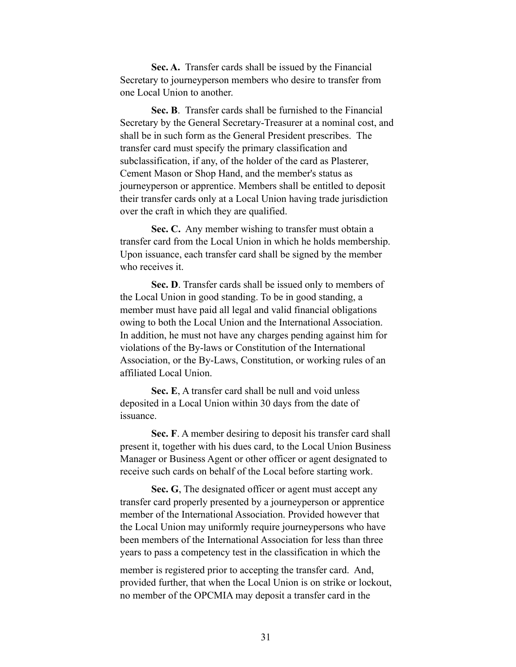**Sec. A.** Transfer cards shall be issued by the Financial Secretary to journeyperson members who desire to transfer from one Local Union to another.

 **Sec. B**. Transfer cards shall be furnished to the Financial Secretary by the General Secretary-Treasurer at a nominal cost, and shall be in such form as the General President prescribes. The transfer card must specify the primary classification and subclassification, if any, of the holder of the card as Plasterer, Cement Mason or Shop Hand, and the member's status as journeyperson or apprentice. Members shall be entitled to deposit their transfer cards only at a Local Union having trade jurisdiction over the craft in which they are qualified.

 **Sec. C.** Any member wishing to transfer must obtain a transfer card from the Local Union in which he holds membership. Upon issuance, each transfer card shall be signed by the member who receives it.

 **Sec. D**. Transfer cards shall be issued only to members of the Local Union in good standing. To be in good standing, a member must have paid all legal and valid financial obligations owing to both the Local Union and the International Association. In addition, he must not have any charges pending against him for violations of the By-laws or Constitution of the International Association, or the By-Laws, Constitution, or working rules of an affiliated Local Union.

 **Sec. E**, A transfer card shall be null and void unless deposited in a Local Union within 30 days from the date of issuance.

 **Sec. F**. A member desiring to deposit his transfer card shall present it, together with his dues card, to the Local Union Business Manager or Business Agent or other officer or agent designated to receive such cards on behalf of the Local before starting work.

 **Sec. G**, The designated officer or agent must accept any transfer card properly presented by a journeyperson or apprentice member of the International Association. Provided however that the Local Union may uniformly require journeypersons who have been members of the International Association for less than three years to pass a competency test in the classification in which the

member is registered prior to accepting the transfer card. And, provided further, that when the Local Union is on strike or lockout, no member of the OPCMIA may deposit a transfer card in the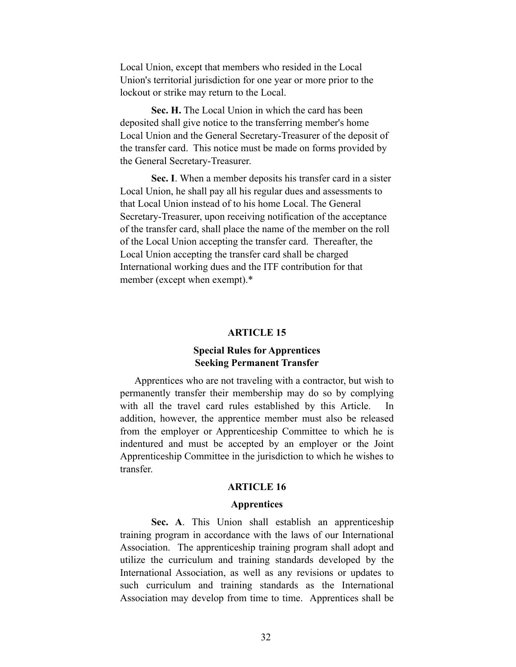Local Union, except that members who resided in the Local Union's territorial jurisdiction for one year or more prior to the lockout or strike may return to the Local.

 **Sec. H.** The Local Union in which the card has been deposited shall give notice to the transferring member's home Local Union and the General Secretary-Treasurer of the deposit of the transfer card. This notice must be made on forms provided by the General Secretary-Treasurer.

 **Sec. I**. When a member deposits his transfer card in a sister Local Union, he shall pay all his regular dues and assessments to that Local Union instead of to his home Local. The General Secretary-Treasurer, upon receiving notification of the acceptance of the transfer card, shall place the name of the member on the roll of the Local Union accepting the transfer card. Thereafter, the Local Union accepting the transfer card shall be charged International working dues and the ITF contribution for that member (except when exempt).\*

#### **ARTICLE 15**

## **Special Rules for Apprentices Seeking Permanent Transfer**

 Apprentices who are not traveling with a contractor, but wish to permanently transfer their membership may do so by complying with all the travel card rules established by this Article. In addition, however, the apprentice member must also be released from the employer or Apprenticeship Committee to which he is indentured and must be accepted by an employer or the Joint Apprenticeship Committee in the jurisdiction to which he wishes to transfer.

#### **ARTICLE 16**

#### **Apprentices**

 **Sec. A**. This Union shall establish an apprenticeship training program in accordance with the laws of our International Association. The apprenticeship training program shall adopt and utilize the curriculum and training standards developed by the International Association, as well as any revisions or updates to such curriculum and training standards as the International Association may develop from time to time. Apprentices shall be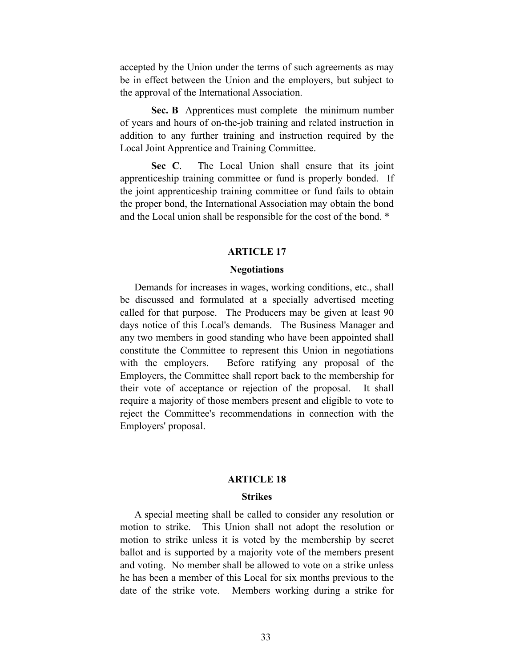accepted by the Union under the terms of such agreements as may be in effect between the Union and the employers, but subject to the approval of the International Association.

 **Sec. B** Apprentices must complete the minimum number of years and hours of on-the-job training and related instruction in addition to any further training and instruction required by the Local Joint Apprentice and Training Committee.

 **Sec C**. The Local Union shall ensure that its joint apprenticeship training committee or fund is properly bonded. If the joint apprenticeship training committee or fund fails to obtain the proper bond, the International Association may obtain the bond and the Local union shall be responsible for the cost of the bond. \*

#### **ARTICLE 17**

#### **Negotiations**

 Demands for increases in wages, working conditions, etc., shall be discussed and formulated at a specially advertised meeting called for that purpose. The Producers may be given at least 90 days notice of this Local's demands. The Business Manager and any two members in good standing who have been appointed shall constitute the Committee to represent this Union in negotiations with the employers. Before ratifying any proposal of the Employers, the Committee shall report back to the membership for their vote of acceptance or rejection of the proposal. It shall require a majority of those members present and eligible to vote to reject the Committee's recommendations in connection with the Employers' proposal.

#### **ARTICLE 18**

#### **Strikes**

 A special meeting shall be called to consider any resolution or motion to strike. This Union shall not adopt the resolution or motion to strike unless it is voted by the membership by secret ballot and is supported by a majority vote of the members present and voting. No member shall be allowed to vote on a strike unless he has been a member of this Local for six months previous to the date of the strike vote. Members working during a strike for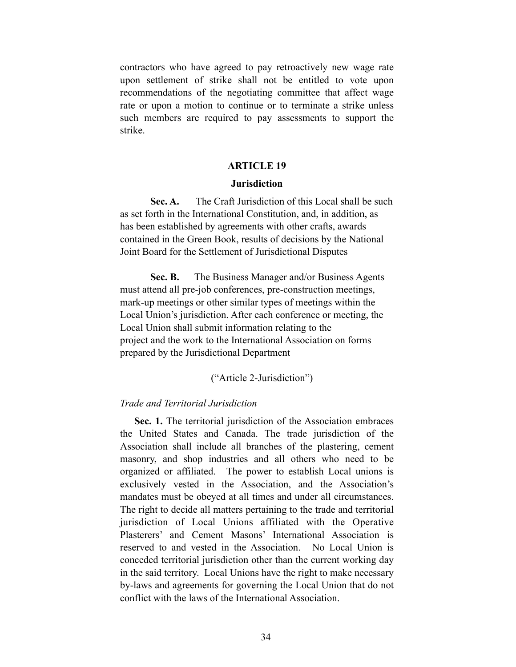contractors who have agreed to pay retroactively new wage rate upon settlement of strike shall not be entitled to vote upon recommendations of the negotiating committee that affect wage rate or upon a motion to continue or to terminate a strike unless such members are required to pay assessments to support the strike.

#### **ARTICLE 19**

#### **Jurisdiction**

**Sec. A.** The Craft Jurisdiction of this Local shall be such as set forth in the International Constitution, and, in addition, as has been established by agreements with other crafts, awards contained in the Green Book, results of decisions by the National Joint Board for the Settlement of Jurisdictional Disputes

**Sec. B.** The Business Manager and/or Business Agents must attend all pre-job conferences, pre-construction meetings, mark-up meetings or other similar types of meetings within the Local Union's jurisdiction. After each conference or meeting, the Local Union shall submit information relating to the project and the work to the International Association on forms prepared by the Jurisdictional Department

#### ("Article 2-Jurisdiction")

#### *Trade and Territorial Jurisdiction*

 **Sec. 1.** The territorial jurisdiction of the Association embraces the United States and Canada. The trade jurisdiction of the Association shall include all branches of the plastering, cement masonry, and shop industries and all others who need to be organized or affiliated. The power to establish Local unions is exclusively vested in the Association, and the Association's mandates must be obeyed at all times and under all circumstances. The right to decide all matters pertaining to the trade and territorial jurisdiction of Local Unions affiliated with the Operative Plasterers' and Cement Masons' International Association is reserved to and vested in the Association. No Local Union is conceded territorial jurisdiction other than the current working day in the said territory. Local Unions have the right to make necessary by-laws and agreements for governing the Local Union that do not conflict with the laws of the International Association.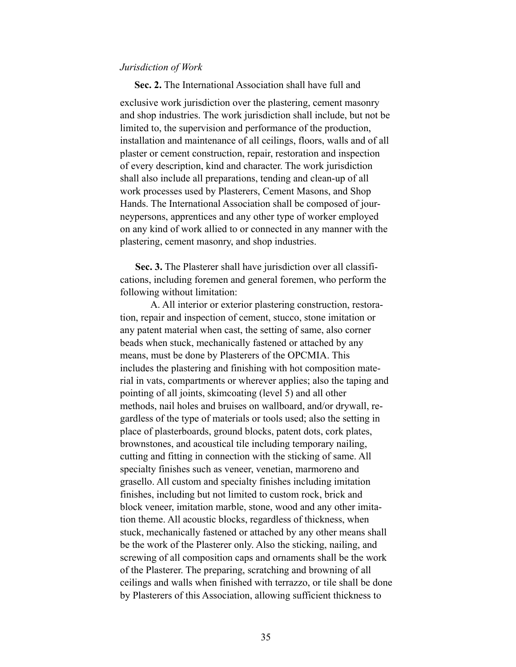#### *Jurisdiction of Work*

 **Sec. 2.** The International Association shall have full and exclusive work jurisdiction over the plastering, cement masonry and shop industries. The work jurisdiction shall include, but not be limited to, the supervision and performance of the production, installation and maintenance of all ceilings, floors, walls and of all plaster or cement construction, repair, restoration and inspection of every description, kind and character. The work jurisdiction shall also include all preparations, tending and clean-up of all work processes used by Plasterers, Cement Masons, and Shop Hands. The International Association shall be composed of journeypersons, apprentices and any other type of worker employed on any kind of work allied to or connected in any manner with the plastering, cement masonry, and shop industries.

 **Sec. 3.** The Plasterer shall have jurisdiction over all classifications, including foremen and general foremen, who perform the following without limitation:

A. All interior or exterior plastering construction, restoration, repair and inspection of cement, stucco, stone imitation or any patent material when cast, the setting of same, also corner beads when stuck, mechanically fastened or attached by any means, must be done by Plasterers of the OPCMIA. This includes the plastering and finishing with hot composition material in vats, compartments or wherever applies; also the taping and pointing of all joints, skimcoating (level 5) and all other methods, nail holes and bruises on wallboard, and/or drywall, regardless of the type of materials or tools used; also the setting in place of plasterboards, ground blocks, patent dots, cork plates, brownstones, and acoustical tile including temporary nailing, cutting and fitting in connection with the sticking of same. All specialty finishes such as veneer, venetian, marmoreno and grasello. All custom and specialty finishes including imitation finishes, including but not limited to custom rock, brick and block veneer, imitation marble, stone, wood and any other imitation theme. All acoustic blocks, regardless of thickness, when stuck, mechanically fastened or attached by any other means shall be the work of the Plasterer only. Also the sticking, nailing, and screwing of all composition caps and ornaments shall be the work of the Plasterer. The preparing, scratching and browning of all ceilings and walls when finished with terrazzo, or tile shall be done by Plasterers of this Association, allowing sufficient thickness to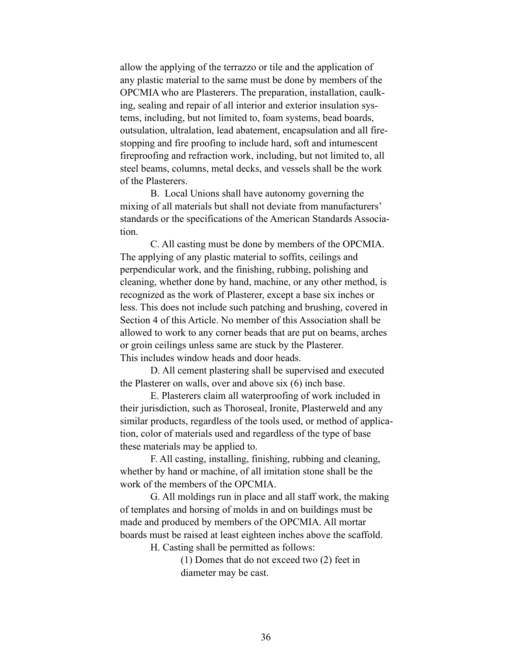allow the applying of the terrazzo or tile and the application of any plastic material to the same must be done by members of the OPCMIA who are Plasterers. The preparation, installation, caulking, sealing and repair of all interior and exterior insulation systems, including, but not limited to, foam systems, bead boards, outsulation, ultralation, lead abatement, encapsulation and all firestopping and fire proofing to include hard, soft and intumescent fireproofing and refraction work, including, but not limited to, all steel beams, columns, metal decks, and vessels shall be the work of the Plasterers.

B. Local Unions shall have autonomy governing the mixing of all materials but shall not deviate from manufacturers' standards or the specifications of the American Standards Association.

C. All casting must be done by members of the OPCMIA. The applying of any plastic material to soffits, ceilings and perpendicular work, and the finishing, rubbing, polishing and cleaning, whether done by hand, machine, or any other method, is recognized as the work of Plasterer, except a base six inches or less. This does not include such patching and brushing, covered in Section 4 of this Article. No member of this Association shall be allowed to work to any corner beads that are put on beams, arches or groin ceilings unless same are stuck by the Plasterer. This includes window heads and door heads.

D. All cement plastering shall be supervised and executed the Plasterer on walls, over and above six (6) inch base.

E. Plasterers claim all waterproofing of work included in their jurisdiction, such as Thoroseal, Ironite, Plasterweld and any similar products, regardless of the tools used, or method of application, color of materials used and regardless of the type of base these materials may be applied to.

F. All casting, installing, finishing, rubbing and cleaning, whether by hand or machine, of all imitation stone shall be the work of the members of the OPCMIA.

G. All moldings run in place and all staff work, the making of templates and horsing of molds in and on buildings must be made and produced by members of the OPCMIA. All mortar boards must be raised at least eighteen inches above the scaffold.

H. Casting shall be permitted as follows:

(1) Domes that do not exceed two (2) feet in diameter may be cast.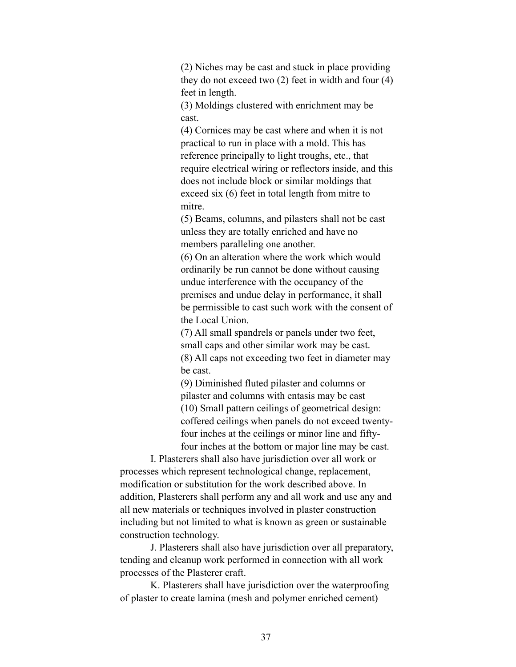(2) Niches may be cast and stuck in place providing they do not exceed two (2) feet in width and four (4) feet in length.

(3) Moldings clustered with enrichment may be cast.

(4) Cornices may be cast where and when it is not practical to run in place with a mold. This has reference principally to light troughs, etc., that require electrical wiring or reflectors inside, and this does not include block or similar moldings that exceed six (6) feet in total length from mitre to mitre.

(5) Beams, columns, and pilasters shall not be cast unless they are totally enriched and have no members paralleling one another.

(6) On an alteration where the work which would ordinarily be run cannot be done without causing undue interference with the occupancy of the premises and undue delay in performance, it shall be permissible to cast such work with the consent of the Local Union.

(7) All small spandrels or panels under two feet, small caps and other similar work may be cast. (8) All caps not exceeding two feet in diameter may be cast.

(9) Diminished fluted pilaster and columns or pilaster and columns with entasis may be cast (10) Small pattern ceilings of geometrical design: coffered ceilings when panels do not exceed twentyfour inches at the ceilings or minor line and fiftyfour inches at the bottom or major line may be cast.

I. Plasterers shall also have jurisdiction over all work or processes which represent technological change, replacement, modification or substitution for the work described above. In addition, Plasterers shall perform any and all work and use any and all new materials or techniques involved in plaster construction including but not limited to what is known as green or sustainable construction technology.

J. Plasterers shall also have jurisdiction over all preparatory, tending and cleanup work performed in connection with all work processes of the Plasterer craft.

K. Plasterers shall have jurisdiction over the waterproofing of plaster to create lamina (mesh and polymer enriched cement)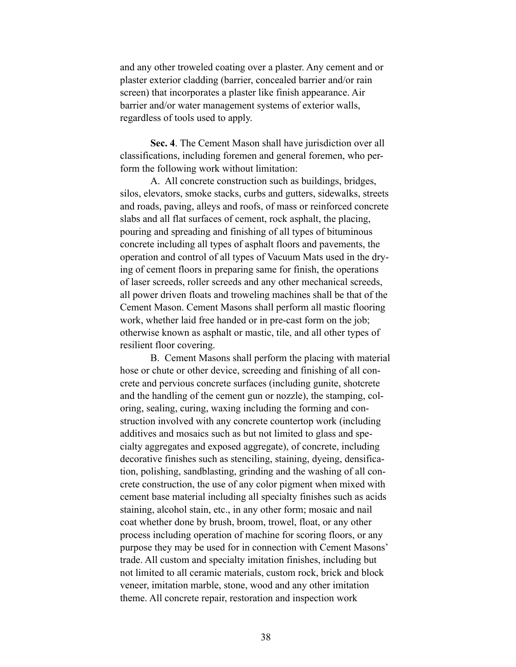and any other troweled coating over a plaster. Any cement and or plaster exterior cladding (barrier, concealed barrier and/or rain screen) that incorporates a plaster like finish appearance. Air barrier and/or water management systems of exterior walls, regardless of tools used to apply.

**Sec. 4**. The Cement Mason shall have jurisdiction over all classifications, including foremen and general foremen, who perform the following work without limitation:

A. All concrete construction such as buildings, bridges, silos, elevators, smoke stacks, curbs and gutters, sidewalks, streets and roads, paving, alleys and roofs, of mass or reinforced concrete slabs and all flat surfaces of cement, rock asphalt, the placing, pouring and spreading and finishing of all types of bituminous concrete including all types of asphalt floors and pavements, the operation and control of all types of Vacuum Mats used in the drying of cement floors in preparing same for finish, the operations of laser screeds, roller screeds and any other mechanical screeds, all power driven floats and troweling machines shall be that of the Cement Mason. Cement Masons shall perform all mastic flooring work, whether laid free handed or in pre-cast form on the job; otherwise known as asphalt or mastic, tile, and all other types of resilient floor covering.

B. Cement Masons shall perform the placing with material hose or chute or other device, screeding and finishing of all concrete and pervious concrete surfaces (including gunite, shotcrete and the handling of the cement gun or nozzle), the stamping, coloring, sealing, curing, waxing including the forming and construction involved with any concrete countertop work (including additives and mosaics such as but not limited to glass and specialty aggregates and exposed aggregate), of concrete, including decorative finishes such as stenciling, staining, dyeing, densification, polishing, sandblasting, grinding and the washing of all concrete construction, the use of any color pigment when mixed with cement base material including all specialty finishes such as acids staining, alcohol stain, etc., in any other form; mosaic and nail coat whether done by brush, broom, trowel, float, or any other process including operation of machine for scoring floors, or any purpose they may be used for in connection with Cement Masons' trade. All custom and specialty imitation finishes, including but not limited to all ceramic materials, custom rock, brick and block veneer, imitation marble, stone, wood and any other imitation theme. All concrete repair, restoration and inspection work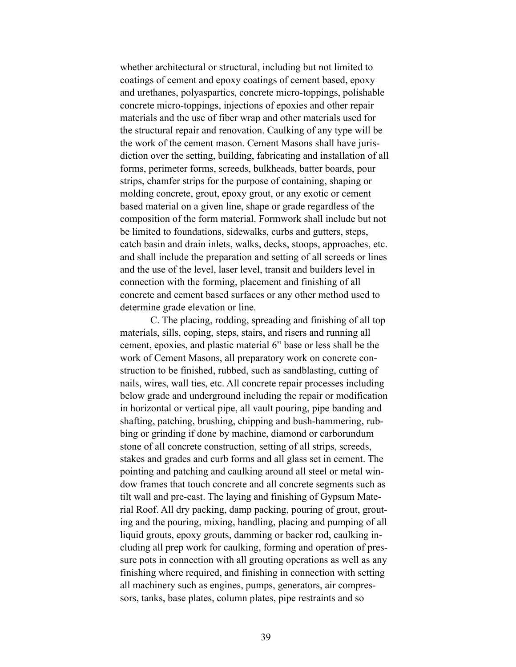whether architectural or structural, including but not limited to coatings of cement and epoxy coatings of cement based, epoxy and urethanes, polyaspartics, concrete micro-toppings, polishable concrete micro-toppings, injections of epoxies and other repair materials and the use of fiber wrap and other materials used for the structural repair and renovation. Caulking of any type will be the work of the cement mason. Cement Masons shall have jurisdiction over the setting, building, fabricating and installation of all forms, perimeter forms, screeds, bulkheads, batter boards, pour strips, chamfer strips for the purpose of containing, shaping or molding concrete, grout, epoxy grout, or any exotic or cement based material on a given line, shape or grade regardless of the composition of the form material. Formwork shall include but not be limited to foundations, sidewalks, curbs and gutters, steps, catch basin and drain inlets, walks, decks, stoops, approaches, etc. and shall include the preparation and setting of all screeds or lines and the use of the level, laser level, transit and builders level in connection with the forming, placement and finishing of all concrete and cement based surfaces or any other method used to determine grade elevation or line.

C. The placing, rodding, spreading and finishing of all top materials, sills, coping, steps, stairs, and risers and running all cement, epoxies, and plastic material 6" base or less shall be the work of Cement Masons, all preparatory work on concrete construction to be finished, rubbed, such as sandblasting, cutting of nails, wires, wall ties, etc. All concrete repair processes including below grade and underground including the repair or modification in horizontal or vertical pipe, all vault pouring, pipe banding and shafting, patching, brushing, chipping and bush-hammering, rubbing or grinding if done by machine, diamond or carborundum stone of all concrete construction, setting of all strips, screeds, stakes and grades and curb forms and all glass set in cement. The pointing and patching and caulking around all steel or metal window frames that touch concrete and all concrete segments such as tilt wall and pre-cast. The laying and finishing of Gypsum Material Roof. All dry packing, damp packing, pouring of grout, grouting and the pouring, mixing, handling, placing and pumping of all liquid grouts, epoxy grouts, damming or backer rod, caulking including all prep work for caulking, forming and operation of pressure pots in connection with all grouting operations as well as any finishing where required, and finishing in connection with setting all machinery such as engines, pumps, generators, air compressors, tanks, base plates, column plates, pipe restraints and so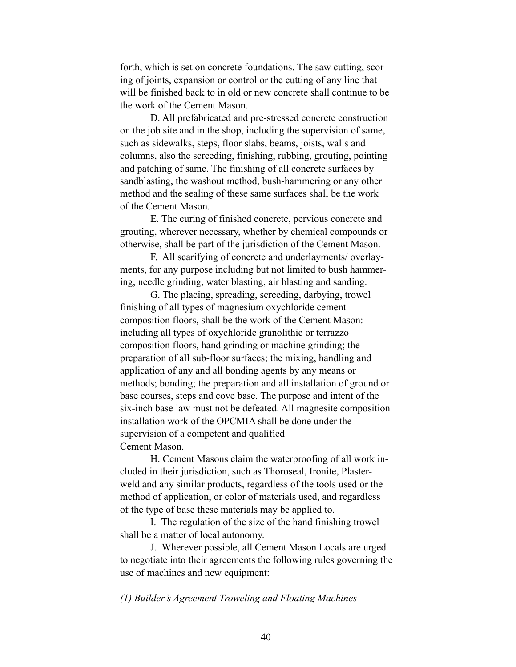forth, which is set on concrete foundations. The saw cutting, scoring of joints, expansion or control or the cutting of any line that will be finished back to in old or new concrete shall continue to be the work of the Cement Mason.

D. All prefabricated and pre-stressed concrete construction on the job site and in the shop, including the supervision of same, such as sidewalks, steps, floor slabs, beams, joists, walls and columns, also the screeding, finishing, rubbing, grouting, pointing and patching of same. The finishing of all concrete surfaces by sandblasting, the washout method, bush-hammering or any other method and the sealing of these same surfaces shall be the work of the Cement Mason.

E. The curing of finished concrete, pervious concrete and grouting, wherever necessary, whether by chemical compounds or otherwise, shall be part of the jurisdiction of the Cement Mason.

F. All scarifying of concrete and underlayments/ overlayments, for any purpose including but not limited to bush hammering, needle grinding, water blasting, air blasting and sanding.

G. The placing, spreading, screeding, darbying, trowel finishing of all types of magnesium oxychloride cement composition floors, shall be the work of the Cement Mason: including all types of oxychloride granolithic or terrazzo composition floors, hand grinding or machine grinding; the preparation of all sub-floor surfaces; the mixing, handling and application of any and all bonding agents by any means or methods; bonding; the preparation and all installation of ground or base courses, steps and cove base. The purpose and intent of the six-inch base law must not be defeated. All magnesite composition installation work of the OPCMIA shall be done under the supervision of a competent and qualified Cement Mason.

H. Cement Masons claim the waterproofing of all work included in their jurisdiction, such as Thoroseal, Ironite, Plasterweld and any similar products, regardless of the tools used or the method of application, or color of materials used, and regardless of the type of base these materials may be applied to.

I. The regulation of the size of the hand finishing trowel shall be a matter of local autonomy.

J. Wherever possible, all Cement Mason Locals are urged to negotiate into their agreements the following rules governing the use of machines and new equipment:

#### *(1) Builder's Agreement Troweling and Floating Machines*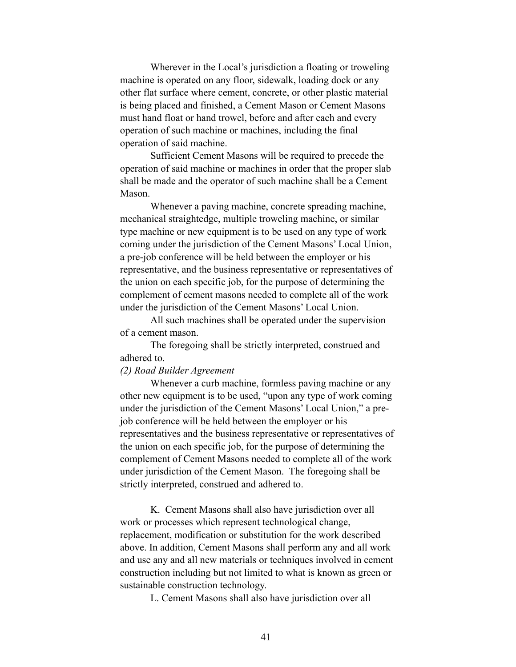Wherever in the Local's jurisdiction a floating or troweling machine is operated on any floor, sidewalk, loading dock or any other flat surface where cement, concrete, or other plastic material is being placed and finished, a Cement Mason or Cement Masons must hand float or hand trowel, before and after each and every operation of such machine or machines, including the final operation of said machine.

 Sufficient Cement Masons will be required to precede the operation of said machine or machines in order that the proper slab shall be made and the operator of such machine shall be a Cement Mason.

 Whenever a paving machine, concrete spreading machine, mechanical straightedge, multiple troweling machine, or similar type machine or new equipment is to be used on any type of work coming under the jurisdiction of the Cement Masons' Local Union, a pre-job conference will be held between the employer or his representative, and the business representative or representatives of the union on each specific job, for the purpose of determining the complement of cement masons needed to complete all of the work under the jurisdiction of the Cement Masons' Local Union.

 All such machines shall be operated under the supervision of a cement mason.

 The foregoing shall be strictly interpreted, construed and adhered to.

#### *(2) Road Builder Agreement*

 Whenever a curb machine, formless paving machine or any other new equipment is to be used, "upon any type of work coming under the jurisdiction of the Cement Masons' Local Union," a prejob conference will be held between the employer or his representatives and the business representative or representatives of the union on each specific job, for the purpose of determining the complement of Cement Masons needed to complete all of the work under jurisdiction of the Cement Mason. The foregoing shall be strictly interpreted, construed and adhered to.

K. Cement Masons shall also have jurisdiction over all work or processes which represent technological change, replacement, modification or substitution for the work described above. In addition, Cement Masons shall perform any and all work and use any and all new materials or techniques involved in cement construction including but not limited to what is known as green or sustainable construction technology.

L. Cement Masons shall also have jurisdiction over all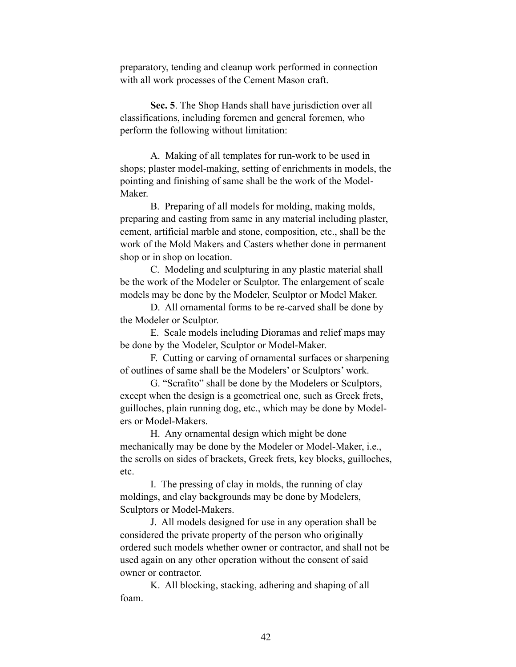preparatory, tending and cleanup work performed in connection with all work processes of the Cement Mason craft.

**Sec. 5**. The Shop Hands shall have jurisdiction over all classifications, including foremen and general foremen, who perform the following without limitation:

A. Making of all templates for run-work to be used in shops; plaster model-making, setting of enrichments in models, the pointing and finishing of same shall be the work of the Model-Maker.

B. Preparing of all models for molding, making molds, preparing and casting from same in any material including plaster, cement, artificial marble and stone, composition, etc., shall be the work of the Mold Makers and Casters whether done in permanent shop or in shop on location.

C. Modeling and sculpturing in any plastic material shall be the work of the Modeler or Sculptor. The enlargement of scale models may be done by the Modeler, Sculptor or Model Maker.

D. All ornamental forms to be re-carved shall be done by the Modeler or Sculptor.

E. Scale models including Dioramas and relief maps may be done by the Modeler, Sculptor or Model-Maker.

F. Cutting or carving of ornamental surfaces or sharpening of outlines of same shall be the Modelers' or Sculptors' work.

G. "Scrafito" shall be done by the Modelers or Sculptors, except when the design is a geometrical one, such as Greek frets, guilloches, plain running dog, etc., which may be done by Modelers or Model-Makers.

H. Any ornamental design which might be done mechanically may be done by the Modeler or Model-Maker, i.e., the scrolls on sides of brackets, Greek frets, key blocks, guilloches, etc.

I. The pressing of clay in molds, the running of clay moldings, and clay backgrounds may be done by Modelers, Sculptors or Model-Makers.

J. All models designed for use in any operation shall be considered the private property of the person who originally ordered such models whether owner or contractor, and shall not be used again on any other operation without the consent of said owner or contractor.

K. All blocking, stacking, adhering and shaping of all foam.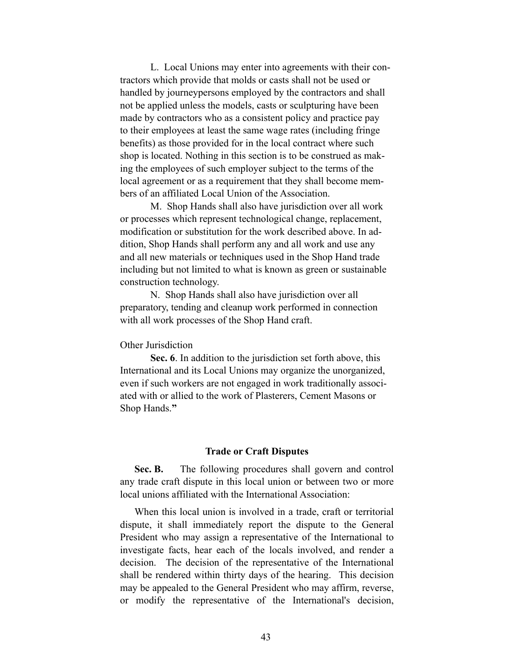L. Local Unions may enter into agreements with their contractors which provide that molds or casts shall not be used or handled by journeypersons employed by the contractors and shall not be applied unless the models, casts or sculpturing have been made by contractors who as a consistent policy and practice pay to their employees at least the same wage rates (including fringe benefits) as those provided for in the local contract where such shop is located. Nothing in this section is to be construed as making the employees of such employer subject to the terms of the local agreement or as a requirement that they shall become members of an affiliated Local Union of the Association.

M. Shop Hands shall also have jurisdiction over all work or processes which represent technological change, replacement, modification or substitution for the work described above. In addition, Shop Hands shall perform any and all work and use any and all new materials or techniques used in the Shop Hand trade including but not limited to what is known as green or sustainable construction technology.

N. Shop Hands shall also have jurisdiction over all preparatory, tending and cleanup work performed in connection with all work processes of the Shop Hand craft.

#### Other Jurisdiction

**Sec. 6**. In addition to the jurisdiction set forth above, this International and its Local Unions may organize the unorganized, even if such workers are not engaged in work traditionally associated with or allied to the work of Plasterers, Cement Masons or Shop Hands.**"** 

#### **Trade or Craft Disputes**

 **Sec. B.** The following procedures shall govern and control any trade craft dispute in this local union or between two or more local unions affiliated with the International Association:

 When this local union is involved in a trade, craft or territorial dispute, it shall immediately report the dispute to the General President who may assign a representative of the International to investigate facts, hear each of the locals involved, and render a decision. The decision of the representative of the International shall be rendered within thirty days of the hearing. This decision may be appealed to the General President who may affirm, reverse, or modify the representative of the International's decision,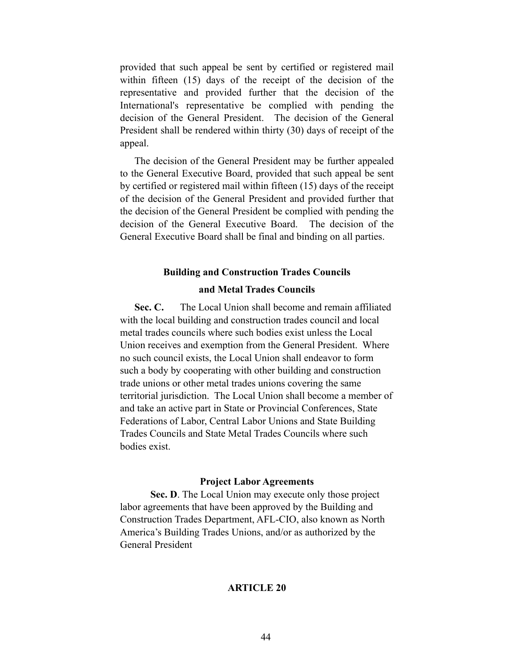provided that such appeal be sent by certified or registered mail within fifteen (15) days of the receipt of the decision of the representative and provided further that the decision of the International's representative be complied with pending the decision of the General President. The decision of the General President shall be rendered within thirty (30) days of receipt of the appeal.

 The decision of the General President may be further appealed to the General Executive Board, provided that such appeal be sent by certified or registered mail within fifteen (15) days of the receipt of the decision of the General President and provided further that the decision of the General President be complied with pending the decision of the General Executive Board. The decision of the General Executive Board shall be final and binding on all parties.

#### **Building and Construction Trades Councils**

#### **and Metal Trades Councils**

 **Sec. C.** The Local Union shall become and remain affiliated with the local building and construction trades council and local metal trades councils where such bodies exist unless the Local Union receives and exemption from the General President. Where no such council exists, the Local Union shall endeavor to form such a body by cooperating with other building and construction trade unions or other metal trades unions covering the same territorial jurisdiction. The Local Union shall become a member of and take an active part in State or Provincial Conferences, State Federations of Labor, Central Labor Unions and State Building Trades Councils and State Metal Trades Councils where such bodies exist.

#### **Project Labor Agreements**

**Sec. D**. The Local Union may execute only those project labor agreements that have been approved by the Building and Construction Trades Department, AFL-CIO, also known as North America's Building Trades Unions, and/or as authorized by the General President

#### **ARTICLE 20**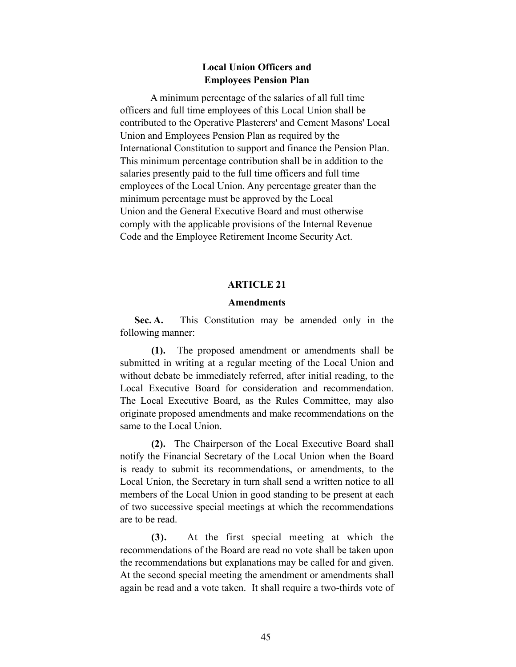# **Local Union Officers and Employees Pension Plan**

 A minimum percentage of the salaries of all full time officers and full time employees of this Local Union shall be contributed to the Operative Plasterers' and Cement Masons' Local Union and Employees Pension Plan as required by the International Constitution to support and finance the Pension Plan. This minimum percentage contribution shall be in addition to the salaries presently paid to the full time officers and full time employees of the Local Union. Any percentage greater than the minimum percentage must be approved by the Local Union and the General Executive Board and must otherwise comply with the applicable provisions of the Internal Revenue Code and the Employee Retirement Income Security Act.

#### **ARTICLE 21**

#### **Amendments**

 **Sec. A.** This Constitution may be amended only in the following manner:

 **(1).** The proposed amendment or amendments shall be submitted in writing at a regular meeting of the Local Union and without debate be immediately referred, after initial reading, to the Local Executive Board for consideration and recommendation. The Local Executive Board, as the Rules Committee, may also originate proposed amendments and make recommendations on the same to the Local Union.

 **(2).** The Chairperson of the Local Executive Board shall notify the Financial Secretary of the Local Union when the Board is ready to submit its recommendations, or amendments, to the Local Union, the Secretary in turn shall send a written notice to all members of the Local Union in good standing to be present at each of two successive special meetings at which the recommendations are to be read.

 **(3).** At the first special meeting at which the recommendations of the Board are read no vote shall be taken upon the recommendations but explanations may be called for and given. At the second special meeting the amendment or amendments shall again be read and a vote taken. It shall require a two-thirds vote of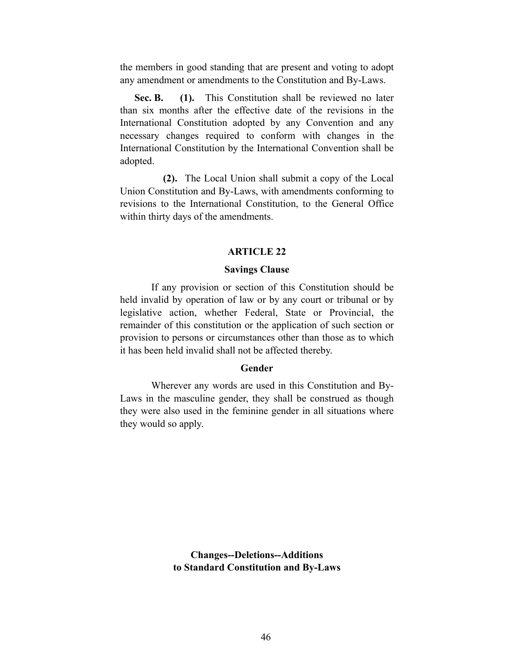the members in good standing that are present and voting to adopt any amendment or amendments to the Constitution and By-Laws.

Sec. B. (1). This Constitution shall be reviewed no later than six months after the effective date of the revisions in the International Constitution adopted by any Convention and any necessary changes required to conform with changes in the International Constitution by the International Convention shall be adopted.

 **(2).** The Local Union shall submit a copy of the Local Union Constitution and By-Laws, with amendments conforming to revisions to the International Constitution, to the General Office within thirty days of the amendments.

#### **ARTICLE 22**

#### **Savings Clause**

 If any provision or section of this Constitution should be held invalid by operation of law or by any court or tribunal or by legislative action, whether Federal, State or Provincial, the remainder of this constitution or the application of such section or provision to persons or circumstances other than those as to which it has been held invalid shall not be affected thereby.

#### **Gender**

 Wherever any words are used in this Constitution and By-Laws in the masculine gender, they shall be construed as though they were also used in the feminine gender in all situations where they would so apply.

> **Changes--Deletions--Additions to Standard Constitution and By-Laws**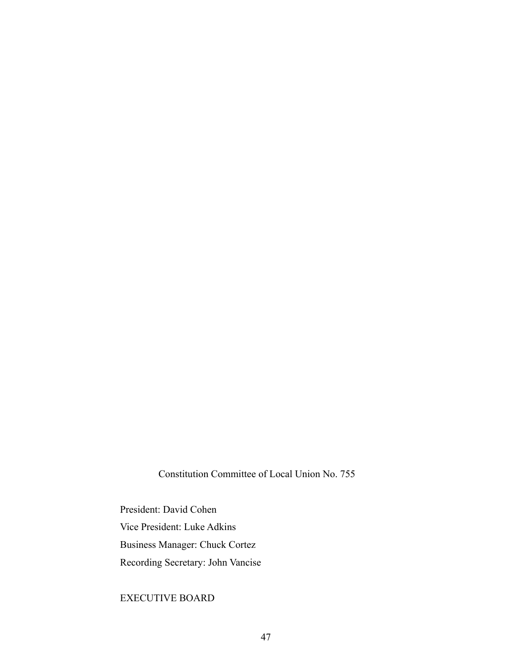Constitution Committee of Local Union No. 755

President: David Cohen Vice President: Luke Adkins Business Manager: Chuck Cortez Recording Secretary: John Vancise

# EXECUTIVE BOARD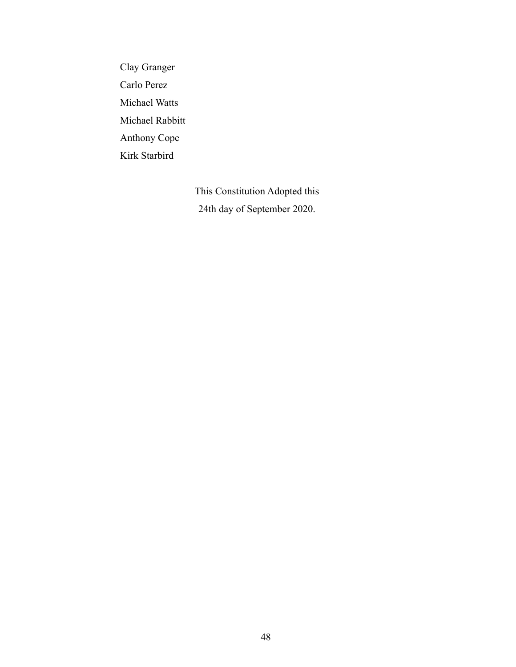Clay Granger Carlo Perez Michael Watts Michael Rabbitt Anthony Cope Kirk Starbird

> This Constitution Adopted this 24th day of September 2020.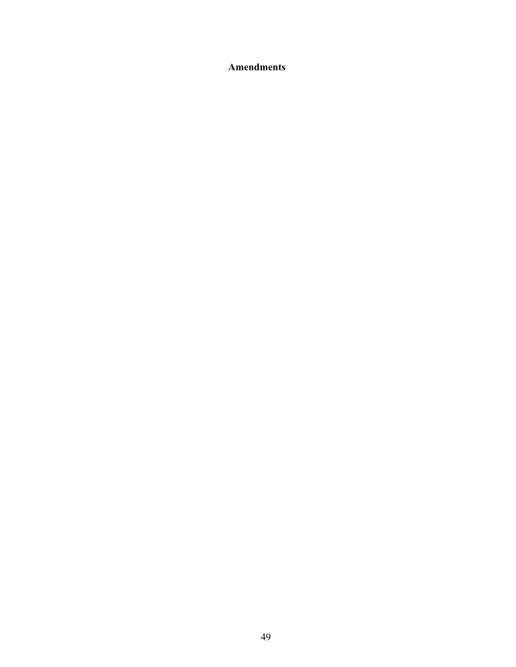**Amendments**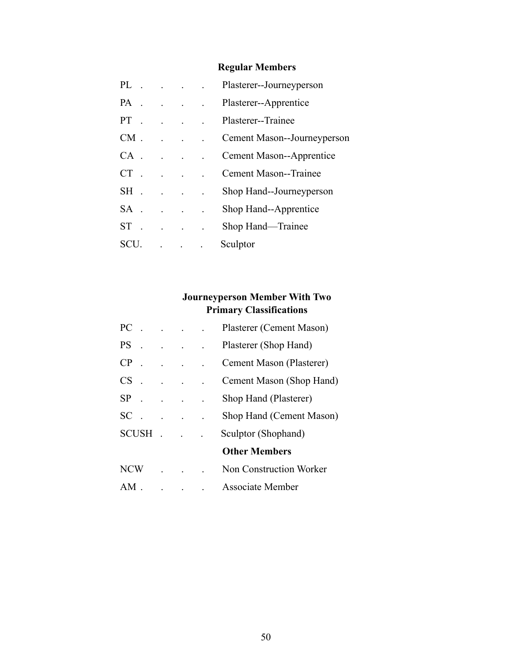# **Regular Members**

| PL.       |  | $\mathbf{r} = \mathbf{r} \cdot \mathbf{r}$ | Plasterer--Journeyperson    |
|-----------|--|--------------------------------------------|-----------------------------|
| PA.       |  |                                            | Plasterer--Apprentice       |
| $PT$ .    |  |                                            | Plasterer--Trainee          |
| $CM$ .    |  |                                            | Cement Mason--Journeyperson |
| CA –      |  |                                            | Cement Mason--Apprentice    |
| <b>CT</b> |  |                                            | Cement Mason--Trainee       |
| SH.       |  |                                            | Shop Hand--Journeyperson    |
| $SA$ .    |  |                                            | Shop Hand--Apprentice       |
| $ST$ .    |  |                                            | Shop Hand—Trainee           |
| SCU       |  |                                            | Sculptor                    |

# **Journeyperson Member With Two Primary Classifications**

| PC         |              |                        | Plasterer (Cement Mason) |
|------------|--------------|------------------------|--------------------------|
| $PS$ .     |              |                        | Plasterer (Shop Hand)    |
| CP         |              |                        | Cement Mason (Plasterer) |
| $CS$ .     |              |                        | Cement Mason (Shop Hand) |
|            |              | $SP \t{.} \t{.} \t{.}$ | Shop Hand (Plasterer)    |
| <b>SC</b>  |              |                        | Shop Hand (Cement Mason) |
|            | <b>SCUSH</b> |                        | Sculptor (Shophand)      |
|            |              |                        | <b>Other Members</b>     |
| <b>NCW</b> |              |                        | Non Construction Worker  |
| AM         |              |                        | <b>Associate Member</b>  |